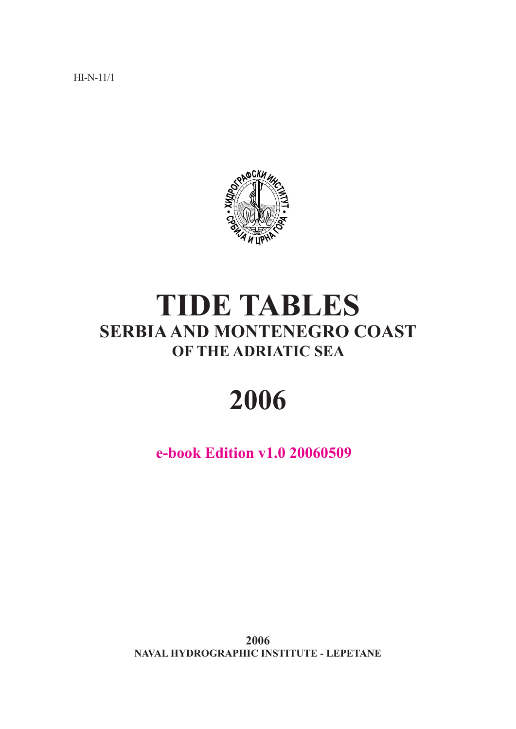HI-N-11/1



# **TIDE TABLES SERBIA AND MONTENEGRO COAST OF THE ADRIATIC SEA**

# **2006**

**e-book Edition v1.0 20060509**

**2006 NAVAL HYDROGRAPHIC INSTITUTE - LEPETANE**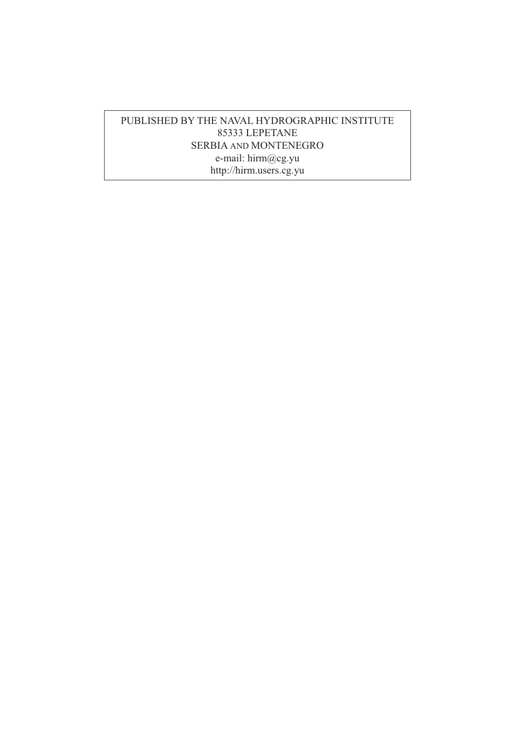### PUBLISHED BY THE NAVAL HYDROGRAPHIC INSTITUTE 85333 LEPETANE SERBIA AND MONTENEGRO e-mail: hirm@cg.yu http://hirm.users.cg.yu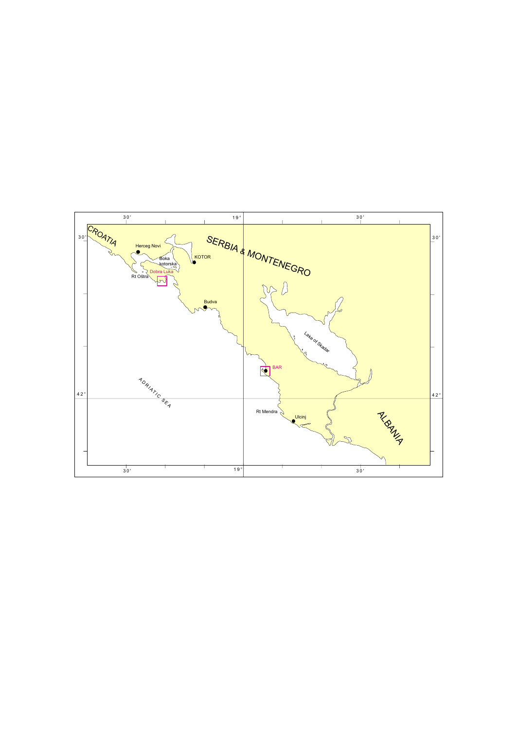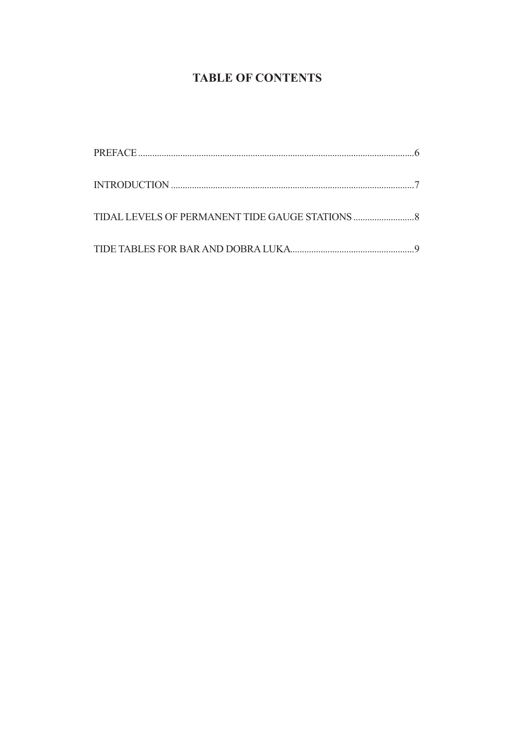### **TABLE OF CONTENTS**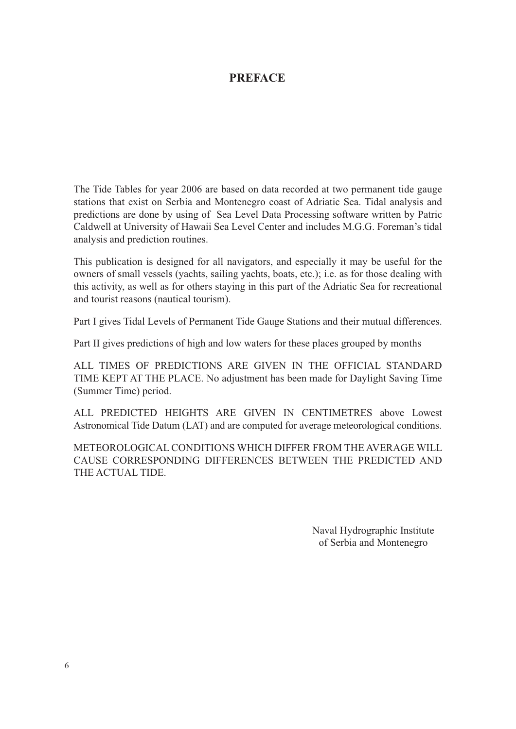### **PREFACE**

The Tide Tables for year 2006 are based on data recorded at two permanent tide gauge stations that exist on Serbia and Montenegro coast of Adriatic Sea. Tidal analysis and predictions are done by using of Sea Level Data Processing software written by Patric Caldwell at University of Hawaii Sea Level Center and includes M.G.G. Foreman's tidal analysis and prediction routines.

This publication is designed for all navigators, and especially it may be useful for the owners of small vessels (yachts, sailing yachts, boats, etc.); i.e. as for those dealing with this activity, as well as for others staying in this part of the Adriatic Sea for recreational and tourist reasons (nautical tourism).

Part I gives Tidal Levels of Permanent Tide Gauge Stations and their mutual differences.

Part II gives predictions of high and low waters for these places grouped by months

ALL TIMES OF PREDICTIONS ARE GIVEN IN THE OFFICIAL STANDARD TIME KEPT AT THE PLACE. No adjustment has been made for Daylight Saving Time (Summer Time) period.

ALL PREDICTED HEIGHTS ARE GIVEN IN CENTIMETRES above Lowest Astronomical Tide Datum (LAT) and are computed for average meteorological conditions.

METEOROLOGICAL CONDITIONS WHICH DIFFER FROM THE AVERAGE WILL CAUSE CORRESPONDING DIFFERENCES BETWEEN THE PREDICTED AND THE ACTUAL TIDE.

> Naval Hydrographic Institute of Serbia and Montenegro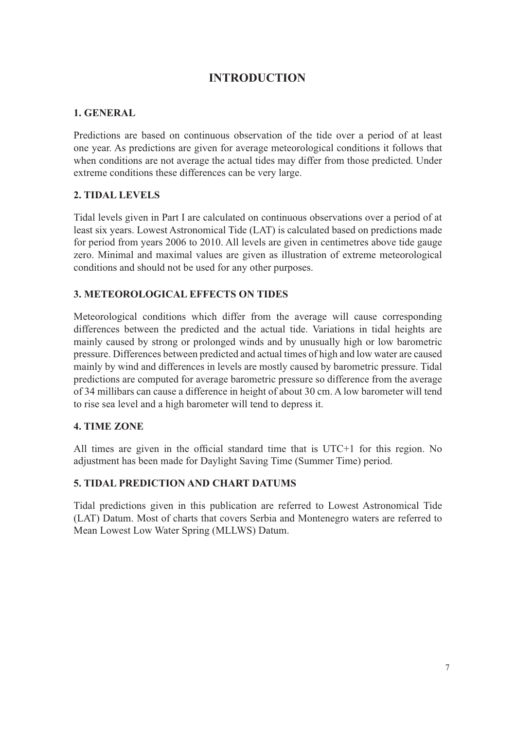### **INTRODUCTION**

### **1. GENERAL**

Predictions are based on continuous observation of the tide over a period of at least one year. As predictions are given for average meteorological conditions it follows that when conditions are not average the actual tides may differ from those predicted. Under extreme conditions these differences can be very large.

#### **2. TIDAL LEVELS**

Tidal levels given in Part I are calculated on continuous observations over a period of at least six years. Lowest Astronomical Tide (LAT) is calculated based on predictions made for period from years 2006 to 2010. All levels are given in centimetres above tide gauge zero. Minimal and maximal values are given as illustration of extreme meteorological conditions and should not be used for any other purposes.

### **3. METEOROLOGICAL EFFECTS ON TIDES**

Meteorological conditions which differ from the average will cause corresponding differences between the predicted and the actual tide. Variations in tidal heights are mainly caused by strong or prolonged winds and by unusually high or low barometric pressure. Differences between predicted and actual times of high and low water are caused mainly by wind and differences in levels are mostly caused by barometric pressure. Tidal predictions are computed for average barometric pressure so difference from the average of 34 millibars can cause a difference in height of about 30 cm. A low barometer will tend to rise sea level and a high barometer will tend to depress it.

#### **4. TIME ZONE**

All times are given in the official standard time that is  $UTC+1$  for this region. No adjustment has been made for Daylight Saving Time (Summer Time) period.

#### **5. TIDAL PREDICTION AND CHART DATUMS**

Tidal predictions given in this publication are referred to Lowest Astronomical Tide (LAT) Datum. Most of charts that covers Serbia and Montenegro waters are referred to Mean Lowest Low Water Spring (MLLWS) Datum.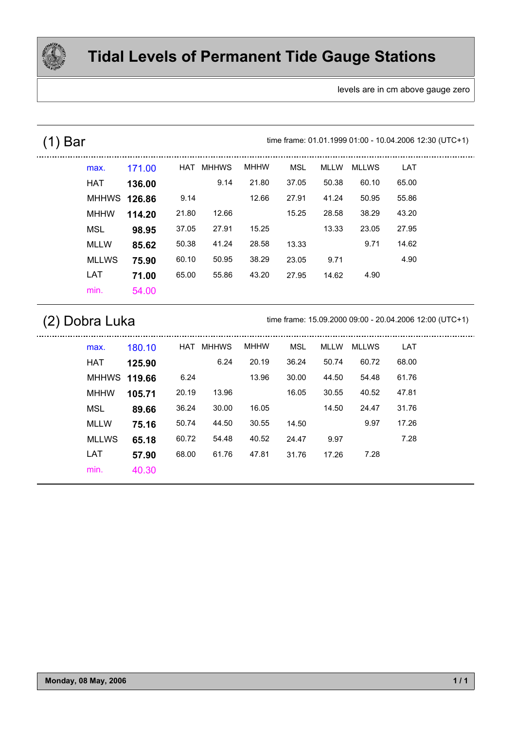

levels are in cm above gauge zero

### (1) Bar . . . . . . . . . . . . .

time frame: 01.01.1999 01:00 - 10.04.2006 12:30 (UTC+1)

| max.         | 171.00 | HAT   | <b>MHHWS</b> | <b>MHHW</b> | <b>MSL</b> | <b>MLLW</b> | <b>MLLWS</b> | LAT   |  |
|--------------|--------|-------|--------------|-------------|------------|-------------|--------------|-------|--|
| <b>HAT</b>   | 136.00 |       | 9.14         | 21.80       | 37.05      | 50.38       | 60.10        | 65.00 |  |
| MHHWS        | 126.86 | 9.14  |              | 12.66       | 27.91      | 41.24       | 50.95        | 55.86 |  |
| <b>MHHW</b>  | 114.20 | 21.80 | 12.66        |             | 15.25      | 28.58       | 38.29        | 43.20 |  |
| <b>MSL</b>   | 98.95  | 37.05 | 27.91        | 15.25       |            | 13.33       | 23.05        | 27.95 |  |
| <b>MLLW</b>  | 85.62  | 50.38 | 41.24        | 28.58       | 13.33      |             | 9.71         | 14.62 |  |
| <b>MLLWS</b> | 75.90  | 60.10 | 50.95        | 38.29       | 23.05      | 9.71        |              | 4.90  |  |
| LAT          | 71.00  | 65.00 | 55.86        | 43.20       | 27.95      | 14.62       | 4.90         |       |  |
| min.         | 54.00  |       |              |             |            |             |              |       |  |

### (2) Dobra Luka

time frame: 15.09.2000 09:00 - 20.04.2006 12:00 (UTC+1)

| max.                | 180.10 | HAT   | <b>MHHWS</b> | <b>MHHW</b> | MSL   | MLLW  | MLLWS | LAT   |  |
|---------------------|--------|-------|--------------|-------------|-------|-------|-------|-------|--|
| HAT                 | 125.90 |       | 6.24         | 20.19       | 36.24 | 50.74 | 60.72 | 68.00 |  |
| <b>MHHWS 119.66</b> |        | 6.24  |              | 13.96       | 30.00 | 44.50 | 54.48 | 61.76 |  |
| <b>MHHW</b>         | 105.71 | 20.19 | 13.96        |             | 16.05 | 30.55 | 40.52 | 47.81 |  |
| <b>MSL</b>          | 89.66  | 36.24 | 30.00        | 16.05       |       | 14.50 | 24.47 | 31.76 |  |
| MLLW                | 75.16  | 50.74 | 44.50        | 30.55       | 14.50 |       | 9.97  | 17.26 |  |
| <b>MLLWS</b>        | 65.18  | 60.72 | 54.48        | 40.52       | 24.47 | 9.97  |       | 7.28  |  |
| <b>LAT</b>          | 57.90  | 68.00 | 61.76        | 47.81       | 31.76 | 17.26 | 7.28  |       |  |
| min.                | 40.30  |       |              |             |       |       |       |       |  |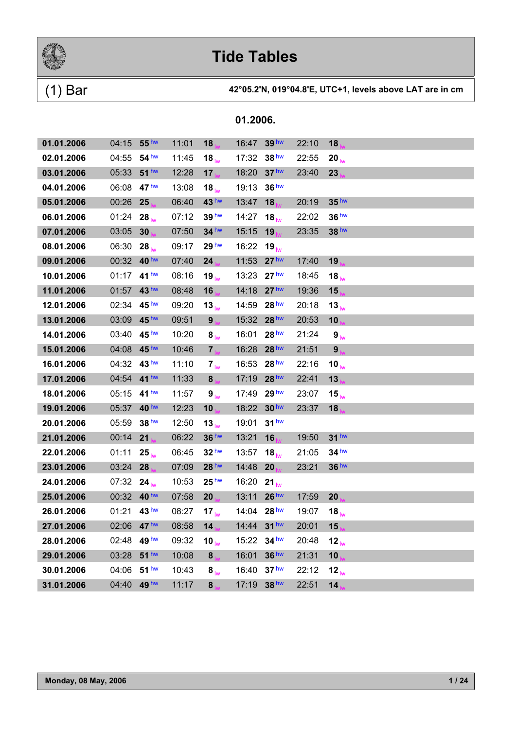

### (1) Bar **42°05.2'N, 019°04.8'E, UTC+1, levels above LAT are in cm**

| 01.01.2006 | 04:15       | 55 <sup>hw</sup> | 11:01 | 18                | 16:47       | 39 <sup>hw</sup> | 22:10 | 18                |  |
|------------|-------------|------------------|-------|-------------------|-------------|------------------|-------|-------------------|--|
| 02.01.2006 | 04:55       | 54 <sup>hw</sup> | 11:45 | $18_{\text{lw}}$  | 17:32       | 38 <sup>hw</sup> | 22:55 | $20_{\text{lw}}$  |  |
| 03.01.2006 | 05:33       | 51 <sup>hw</sup> | 12:28 | 17 <sub>1</sub>   | 18:20       | 37 <sup>hw</sup> | 23:40 | 23                |  |
| 04.01.2006 | 06:08       | 47 <sup>hw</sup> | 13:08 | 18 $_{\text{lw}}$ | 19:13       | 36 <sup>hw</sup> |       |                   |  |
| 05.01.2006 | 00:26       | 25               | 06:40 | 43 <sup>hw</sup>  | 13:47       | 18               | 20:19 | 35 <sup>hw</sup>  |  |
| 06.01.2006 | 01:24       | $28_{\text{lw}}$ | 07:12 | 39 <sup>hw</sup>  | 14:27       | $18_{\text{hw}}$ | 22:02 | 36 <sup>hw</sup>  |  |
| 07.01.2006 | 03:05       | 30               | 07:50 | 34 hw             | 15:15       | 19               | 23:35 | 38 hw             |  |
| 08.01.2006 | 06:30       | $28_{\text{lw}}$ | 09:17 | 29 <sup>hw</sup>  | 16:22       | $19_{\text{lw}}$ |       |                   |  |
| 09.01.2006 | 00:32       | 40 <sup>hw</sup> | 07:40 | 24 <sub>1</sub>   | 11:53       | 27 <sup>hw</sup> | 17:40 | 19 <sub>1</sub>   |  |
| 10.01.2006 | 01:17 41 hw |                  | 08:16 | 19 $_{\text{lw}}$ | 13:23       | 27 <sup>hw</sup> | 18:45 | $18_{\text{lw}}$  |  |
| 11.01.2006 | 01:57       | 43 hw            | 08:48 | 16                | 14:18       | 27 <sup>hw</sup> | 19:36 | 15                |  |
| 12.01.2006 | 02:34       | 45 <sup>hw</sup> | 09:20 | 13 <sub>lw</sub>  | 14:59       | 28 <sup>hw</sup> | 20:18 | 13 <sub>lw</sub>  |  |
| 13.01.2006 | 03:09       | 45 hw            | 09:51 | 9 <sub>h</sub>    | 15:32       | 28 hw            | 20:53 | 10                |  |
| 14.01.2006 | 03:40       | 45 <sup>hw</sup> | 10:20 | $8_{\text{lw}}$   | 16:01       | 28 <sup>hw</sup> | 21:24 | 9 <sub>lw</sub>   |  |
| 15.01.2006 | 04:08       | 45 <sup>hw</sup> | 10:46 | 7 <sub>hw</sub>   | 16:28       | 28 <sup>hw</sup> | 21:51 | 9 <sub>1</sub>    |  |
| 16.01.2006 | 04:32       | 43 hw            | 11:10 | 7 <sub>lw</sub>   | 16:53       | 28 <sup>hw</sup> | 22:16 | 10 $_{\text{lw}}$ |  |
| 17.01.2006 | 04:54       | 41 <sup>hw</sup> | 11:33 | 8 <sub>h</sub>    | 17:19       | 28 hw            | 22:41 | 13                |  |
| 18.01.2006 | 05:15       | 41 <sup>hw</sup> | 11:57 | 9 <sub>lw</sub>   | 17:49       | 29 <sup>hw</sup> | 23:07 | 15 <sub>lw</sub>  |  |
| 19.01.2006 | 05:37       | 40 <sup>hw</sup> | 12:23 | 10                | 18:22       | 30 <sup>hw</sup> | 23:37 | 18                |  |
| 20.01.2006 | 05:59       | 38 <sup>hw</sup> | 12:50 | $13_{\text{lw}}$  | 19:01       | 31 <sup>hw</sup> |       |                   |  |
| 21.01.2006 | 00:14       | 21               | 06:22 | 36 <sup>hw</sup>  | 13:21       | 16               | 19:50 | 31 <sup>hw</sup>  |  |
| 22.01.2006 | 01:11       | $25_{\text{lw}}$ | 06:45 | 32 <sup>hw</sup>  | 13:57       | 18 <sub>lw</sub> | 21:05 | 34 <sup>hw</sup>  |  |
| 23.01.2006 | 03:24       | 28               | 07:09 | 28 hw             | 14:48       | 20               | 23:21 | 36 <sup>hw</sup>  |  |
| 24.01.2006 | 07:32 24    |                  | 10:53 | 25 <sup>hw</sup>  | 16:20       | 21 <sub>lw</sub> |       |                   |  |
| 25.01.2006 | 00:32 40 hw |                  | 07:58 | 20                | 13:11       | 26 <sup>hw</sup> | 17:59 | 20                |  |
| 26.01.2006 | 01:21 43 hw |                  | 08:27 | 17 <sub>lw</sub>  | 14:04 28 hw |                  | 19:07 | 18 $_{\text{lw}}$ |  |
| 27.01.2006 | 02:06 47 hw |                  | 08:58 | 14                | 14:44       | 31 <sup>hw</sup> | 20:01 | 15                |  |
| 28.01.2006 | 02:48 49hw  |                  | 09:32 | 10 $_{\text{lw}}$ | 15:22       | $34$ hw          | 20:48 | 12 <sub>lw</sub>  |  |
| 29.01.2006 | 03:28       | $51$ hw          | 10:08 | $\bf 8$           | 16:01       | 36 hw            | 21:31 | 10 <sub>1</sub>   |  |
| 30.01.2006 | 04:06       | 51 <sup>hw</sup> | 10:43 | 8 <sub>lw</sub>   | 16:40       | 37 <sup>hw</sup> | 22:12 | 12 <sub>lw</sub>  |  |
| 31.01.2006 | 04:40       | 49 hw            | 11:17 | 8                 | 17:19       | 38 hw            | 22:51 | 14                |  |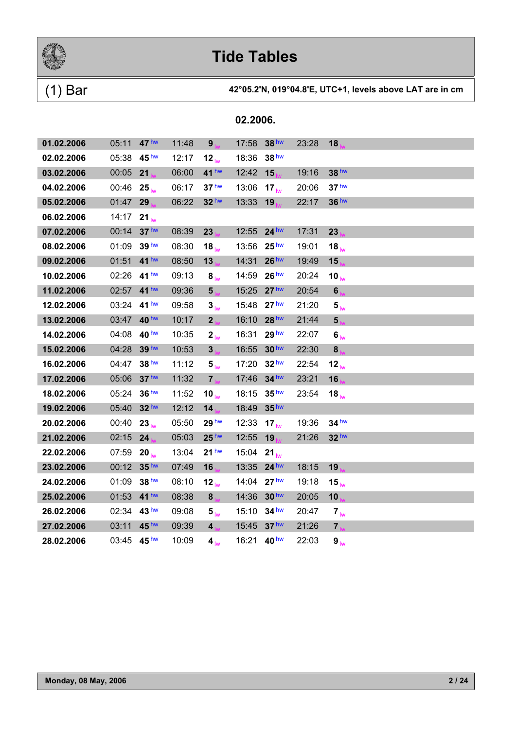

| 02.2006. |
|----------|
|          |
|          |

| 01.02.2006 | 05:11      | 47 <sup>hw</sup> | 11:48 | 9 <sub>h</sub>    | 17:58 | 38 <sup>hw</sup> | 23:28 | 18                   |  |
|------------|------------|------------------|-------|-------------------|-------|------------------|-------|----------------------|--|
| 02.02.2006 | 05:38      | 45 <sup>hw</sup> | 12:17 | 12 <sub>lw</sub>  | 18:36 | 38 <sup>hw</sup> |       |                      |  |
| 03.02.2006 | 00:05      | 21               | 06:00 | 41 hw             | 12:42 | 15               | 19:16 | 38 hw                |  |
| 04.02.2006 | 00:46      | $25_{\text{lw}}$ | 06:17 | 37 <sup>hw</sup>  | 13:06 | 17 <sub>hw</sub> | 20:06 | 37 <sup>hw</sup>     |  |
| 05.02.2006 | 01:47      | 29               | 06:22 | 32 <sup>hw</sup>  | 13:33 | 19               | 22:17 | 36 hw                |  |
| 06.02.2006 | 14:17      | $21_{\text{lw}}$ |       |                   |       |                  |       |                      |  |
| 07.02.2006 | 00:14      | 37 <sup>hw</sup> | 08:39 | 23                | 12:55 | $24$ hw          | 17:31 | 23                   |  |
| 08.02.2006 | 01:09      | 39 <sup>hw</sup> | 08:30 | 18 <sub>lw</sub>  | 13:56 | 25 <sup>hw</sup> | 19:01 | $18_{\text{hw}}$     |  |
| 09.02.2006 | 01:51      | 41 hw            | 08:50 | 13                | 14:31 | 26 <sup>hw</sup> | 19:49 | 15                   |  |
| 10.02.2006 | 02:26      | 41 <sup>hw</sup> | 09:13 | 8 <sub>lw</sub>   | 14:59 | 26 <sup>hw</sup> | 20:24 | $10_{\text{lw}}$     |  |
| 11.02.2006 | 02:57      | 41 <sup>hw</sup> | 09:36 | 5 <sub>1M</sub>   | 15:25 | 27 <sup>hw</sup> | 20:54 | $6\phantom{a}$       |  |
| 12.02.2006 | 03:24      | 41 <sup>hw</sup> | 09:58 | 3 <sub>lw</sub>   | 15:48 | 27 <sup>hw</sup> | 21:20 | 5 <sub>lw</sub>      |  |
| 13.02.2006 | 03:47      | 40 <sup>hw</sup> | 10:17 | 2 <sub>b</sub>    | 16:10 | 28 <sup>hw</sup> | 21:44 | 5 <sub>1</sub>       |  |
| 14.02.2006 | 04:08      | 40 <sup>hw</sup> | 10:35 | 2 <sub>lw</sub>   | 16:31 | 29 <sup>hw</sup> | 22:07 | 6 <sub>lw</sub>      |  |
| 15.02.2006 | 04:28      | 39 <sup>hw</sup> | 10:53 | 3 <sub>hu</sub>   | 16:55 | 30 <sup>hw</sup> | 22:30 | 8                    |  |
| 16.02.2006 | 04:47      | 38 hw            | 11:12 | 5 <sub>lw</sub>   | 17:20 | 32 <sup>hw</sup> | 22:54 | 12 <sub>lw</sub>     |  |
| 17.02.2006 | 05:06      | 37 <sup>hw</sup> | 11:32 | $7_{\text{hs}}$   | 17:46 | 34 <sup>hw</sup> | 23:21 | 16                   |  |
| 18.02.2006 | 05:24      | 36 <sup>hw</sup> | 11:52 | 10 $_{\text{lw}}$ | 18:15 | 35 <sup>hw</sup> | 23:54 | 18 <sub>lw</sub>     |  |
| 19.02.2006 | 05:40      | 32 hw            | 12:12 | 14                | 18:49 | 35 <sup>hw</sup> |       |                      |  |
| 20.02.2006 | 00:40      | 23 <sub>lw</sub> | 05:50 | 29 hw             | 12:33 | $17_{h\nu}$      | 19:36 | $34$ hw              |  |
| 21.02.2006 | 02:15      | 24               | 05:03 | 25 <sup>hw</sup>  | 12:55 | 19               | 21:26 | 32 <sup>hw</sup>     |  |
| 22.02.2006 | 07:59      | $20_{\text{lw}}$ | 13:04 | 21 <sup>hw</sup>  | 15:04 | $21_{\text{lw}}$ |       |                      |  |
| 23.02.2006 | 00:12      | 35 <sup>hw</sup> | 07:49 | 16 <sub>h</sub>   | 13:35 | $24$ hw          | 18:15 | 19                   |  |
| 24.02.2006 | 01:09      | 38 hw            | 08:10 | 12 <sub>lw</sub>  | 14:04 | 27 <sup>hw</sup> | 19:18 | 15 $_{\text{lw}}$    |  |
| 25.02.2006 | 01:53      | 41 <sup>hw</sup> | 08:38 | 8 <sub>h</sub>    | 14:36 | 30 <sup>hw</sup> | 20:05 | 10                   |  |
| 26.02.2006 | 02:34      | 43 <sup>hw</sup> | 09:08 | 5 <sub>lw</sub>   | 15:10 | $34$ hw          | 20:47 | $7_{\text{lw}}$      |  |
| 27.02.2006 | 03:11      | 45 hw            | 09:39 | 4 <sub>h</sub>    | 15:45 | 37 <sup>hw</sup> | 21:26 | 7 <sub>h</sub>       |  |
| 28.02.2006 | 03:45 45hw |                  | 10:09 | 4 <sub>lw</sub>   | 16:21 | 40 hw            | 22:03 | $\bm{9}_{\text{lw}}$ |  |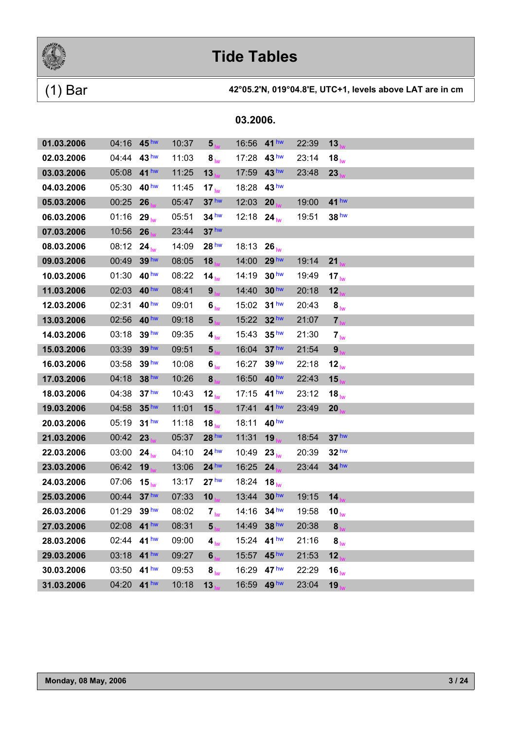

| 01.03.2006 | 04:16 45hw  |                  | 10:37 | 5 <sub>h</sub>               | 16:56       | 41 <sup>hw</sup>  | 22:39 | 13                   |  |
|------------|-------------|------------------|-------|------------------------------|-------------|-------------------|-------|----------------------|--|
| 02.03.2006 | 04:44       | 43 <sup>hw</sup> | 11:03 | 8 <sub>lw</sub>              | 17:28       | 43 <sup>hw</sup>  | 23:14 | $18_{\text{lw}}$     |  |
| 03.03.2006 | 05:08       | 41 <sup>hw</sup> | 11:25 | 13                           | 17:59       | 43 <sup>hw</sup>  | 23:48 | 23 <sub>1</sub>      |  |
| 04.03.2006 | 05:30       | 40 <sup>hw</sup> | 11:45 | 17 <sub>lw</sub>             | 18:28       | 43 <sup>hw</sup>  |       |                      |  |
| 05.03.2006 | 00:25       | 26               | 05:47 | 37 <sup>hw</sup>             | 12:03       | 20                | 19:00 | 41 hw                |  |
| 06.03.2006 | 01:16       | $29_{h}$         | 05:51 | $34$ hw                      | 12:18 24    |                   | 19:51 | 38 hw                |  |
| 07.03.2006 | 10:56       | 26               | 23:44 | 37 <sup>hw</sup>             |             |                   |       |                      |  |
| 08.03.2006 | 08:12       | $24_{\text{lw}}$ | 14:09 | 28 <sup>hw</sup>             | 18:13       | $26_{\text{lw}}$  |       |                      |  |
| 09.03.2006 | 00:49       | 39 hw            | 08:05 | 18                           | 14:00       | 29 <sup>hw</sup>  | 19:14 | 21                   |  |
| 10.03.2006 | 01:30       | 40 <sup>hw</sup> | 08:22 | 14 <sub>lw</sub>             | 14:19       | 30 <sup>hw</sup>  | 19:49 | 17 $_{\text{lw}}$    |  |
| 11.03.2006 | 02:03       | 40 hw            | 08:41 | 9 <sub>1</sub>               | 14:40       | 30 <sup>hw</sup>  | 20:18 | 12 <sub>1</sub>      |  |
| 12.03.2006 | 02:31       | 40 <sup>hw</sup> | 09:01 | 6 <sub>lw</sub>              | 15:02       | 31 <sup>hw</sup>  | 20:43 | 8 <sub>lw</sub>      |  |
| 13.03.2006 | 02:56       | 40 hw            | 09:18 | 5 <sub>ha</sub>              | 15:22       | 32 hw             | 21:07 | $\mathbf{7}_b$       |  |
| 14.03.2006 | 03:18       | 39 hw            | 09:35 | 4 <sub>lw</sub>              | 15:43       | 35 <sup>hw</sup>  | 21:30 | $7_{\text{lw}}$      |  |
| 15.03.2006 | 03:39       | 39 hw            | 09:51 | 5 <sub>hx</sub>              | 16:04       | 37 <sup>hw</sup>  | 21:54 | 9 <sub>1</sub>       |  |
| 16.03.2006 | 03:58       | 39 hw            | 10:08 | $\boldsymbol{6}_{\text{lw}}$ | 16:27       | 39 hw             | 22:18 | $12_{\text{lw}}$     |  |
| 17.03.2006 | 04:18       | 38 hw            | 10:26 | 8                            | 16:50       | 40 <sup>hw</sup>  | 22:43 | 15                   |  |
| 18.03.2006 | 04:38       | 37 <sup>hw</sup> | 10:43 | 12 <sub>lw</sub>             | 17:15       | 41 <sup>hw</sup>  | 23:12 | 18 <sub>lw</sub>     |  |
| 19.03.2006 | 04:58       | 35 <sup>hw</sup> | 11:01 | 15                           | 17:41       | 41 <sup>hw</sup>  | 23:49 | 20                   |  |
| 20.03.2006 | 05:19       | 31 <sup>hw</sup> | 11:18 | 18 $_{\text{lw}}$            | 18:11       | 40 <sup>hw</sup>  |       |                      |  |
| 21.03.2006 | 00:42       | 23               | 05:37 | 28 <sup>hw</sup>             | 11:31       | 19                | 18:54 | 37 <sup>hw</sup>     |  |
| 22.03.2006 | 03:00       | $24_{\text{lw}}$ | 04:10 | 24 <sup>hw</sup>             | 10:49       | 23 <sub>hw</sub>  | 20:39 | 32 <sup>hw</sup>     |  |
| 23.03.2006 | 06:42       | 19               | 13:06 | $24$ hw                      | 16:25       | 24                | 23:44 | $34$ hw              |  |
| 24.03.2006 | 07:06       | $15_{\text{lw}}$ | 13:17 | 27 <sup>hw</sup>             | 18:24       | 18 $_{\text{lw}}$ |       |                      |  |
| 25.03.2006 | 00:44       | 37 <sup>hw</sup> | 07:33 | 10 <sub>1</sub>              | 13:44       | 30 <sup>hw</sup>  | 19:15 | 14                   |  |
| 26.03.2006 | 01:29       | 39 <sup>hw</sup> | 08:02 | 7 <sub>lw</sub>              | 14:16       | 34 <sup>hw</sup>  | 19:58 | 10 $_{\text{lw}}$    |  |
| 27.03.2006 | 02:08 41 hw |                  | 08:31 | 5 <sub>1</sub>               | 14:49 38 hw |                   | 20:38 | 8                    |  |
| 28.03.2006 | 02:44 41 hw |                  | 09:00 | $4_{\text{lw}}$              | 15:24 41 hw |                   | 21:16 | $\bm{8}_{\text{lw}}$ |  |
| 29.03.2006 | 03:18       | $41$ hw          | 09:27 | 6                            | 15:57       | 45 <sup>hw</sup>  | 21:53 | 12 <sub>1</sub>      |  |
| 30.03.2006 | 03:50       | 41 <sup>hw</sup> | 09:53 | 8 <sub>lw</sub>              | 16:29       | 47 <sup>hw</sup>  | 22:29 | 16 $_{\text{lw}}$    |  |
| 31.03.2006 | 04:20       | 41 <sup>hw</sup> | 10:18 | 13                           | 16:59       | 49 hw             | 23:04 | 19                   |  |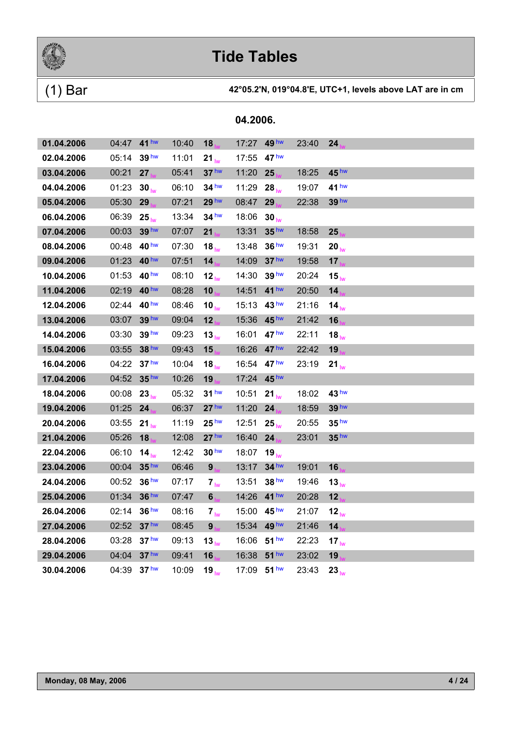

| 01.04.2006 | 04:47 41 hw |                  | 10:40 | 18                | 17:27 | 49 <sup>hw</sup> | 23:40 | 24                |
|------------|-------------|------------------|-------|-------------------|-------|------------------|-------|-------------------|
| 02.04.2006 | 05:14       | 39 <sup>hw</sup> | 11:01 | $21_{\text{lw}}$  | 17:55 | 47 <sup>hw</sup> |       |                   |
| 03.04.2006 | 00:21       | 27 <sub>1</sub>  | 05:41 | 37 <sup>hw</sup>  | 11:20 | 25               | 18:25 | 45 <sup>hw</sup>  |
| 04.04.2006 | 01:23       | $30_{\text{lw}}$ | 06:10 | $34$ hw           | 11:29 | $28_{\text{lw}}$ | 19:07 | 41 hw             |
| 05.04.2006 | 05:30       | 29               | 07:21 | 29 hw             | 08:47 | 29               | 22:38 | 39 hw             |
| 06.04.2006 | 06:39       | $25_{\text{lw}}$ | 13:34 | 34 <sup>hw</sup>  | 18:06 | 30 <sub>lw</sub> |       |                   |
| 07.04.2006 | 00:03       | 39 hw            | 07:07 | 21                | 13:31 | 35 <sup>hw</sup> | 18:58 | 25                |
| 08.04.2006 | 00:48       | 40 <sup>hw</sup> | 07:30 | 18 <sub>lw</sub>  | 13:48 | 36 <sup>hw</sup> | 19:31 | $20_{\text{hw}}$  |
| 09.04.2006 | 01:23       | 40 <sup>hw</sup> | 07:51 | 14                | 14:09 | 37 <sup>hw</sup> | 19:58 | 17 <sub>1</sub>   |
| 10.04.2006 | 01:53       | 40 <sup>hw</sup> | 08:10 | 12 <sub>lw</sub>  | 14:30 | 39 <sup>hw</sup> | 20:24 | $15_{h\nu}$       |
| 11.04.2006 | 02:19       | 40 <sup>hw</sup> | 08:28 | 10                | 14:51 | 41 <sup>hw</sup> | 20:50 | 14 <sub>1</sub>   |
| 12.04.2006 | 02:44       | 40 hw            | 08:46 | 10 $_{\text{lw}}$ | 15:13 | 43 <sup>hw</sup> | 21:16 | 14 <sub>lw</sub>  |
| 13.04.2006 | 03:07       | 39 <sup>hw</sup> | 09:04 | 12                | 15:36 | 45 <sup>hw</sup> | 21:42 | 16                |
| 14.04.2006 | 03:30       | 39 <sup>hw</sup> | 09:23 | $13_{\text{lw}}$  | 16:01 | 47 <sup>hw</sup> | 22:11 | $18_{\text{lw}}$  |
| 15.04.2006 | 03:55       | 38 hw            | 09:43 | 15                | 16:26 | 47 <sup>hw</sup> | 22:42 | 19                |
| 16.04.2006 | 04:22       | 37 <sup>hw</sup> | 10:04 | 18 $_{\text{lw}}$ | 16:54 | $47$ hw          | 23:19 | $21_{\text{lw}}$  |
| 17.04.2006 | 04:52       | 35 <sup>hw</sup> | 10:26 | 19                | 17:24 | 45 <sup>hw</sup> |       |                   |
| 18.04.2006 | 00:08       | $23_{\text{hw}}$ | 05:32 | 31 <sup>hw</sup>  | 10:51 | $21_{h}$         | 18:02 | 43 <sup>hw</sup>  |
| 19.04.2006 | 01:25       | 24               | 06:37 | 27 <sup>hw</sup>  | 11:20 | 24               | 18:59 | 39 hw             |
| 20.04.2006 | 03:55 21    |                  | 11:19 | 25 <sup>hw</sup>  | 12:51 | $25_{\text{hw}}$ | 20:55 | 35 <sup>hw</sup>  |
| 21.04.2006 | 05:26       | 18               | 12:08 | 27 <sup>hw</sup>  | 16:40 | 24               | 23:01 | 35 <sup>hw</sup>  |
| 22.04.2006 | 06:10       | 14 <sub>lw</sub> | 12:42 | 30 <sup>hw</sup>  | 18:07 | 19 <sub>hw</sub> |       |                   |
| 23.04.2006 | 00:04       | 35 <sup>hw</sup> | 06:46 | 9 <sub>1</sub>    | 13:17 | 34 <sup>hw</sup> | 19:01 | 16                |
| 24.04.2006 | 00:52       | 36 <sup>hw</sup> | 07:17 | 7 <sub>lw</sub>   | 13:51 | 38 <sup>hw</sup> | 19:46 | 13 <sub>lw</sub>  |
| 25.04.2006 | 01:34       | 36 hw            | 07:47 | 6 <sub>ha</sub>   | 14:26 | 41 <sup>hw</sup> | 20:28 | 12 <sub>1</sub>   |
| 26.04.2006 | 02:14       | 36 <sup>hw</sup> | 08:16 | $7_{\text{lw}}$   | 15:00 | 45 <sup>hw</sup> | 21:07 | $12_{\text{hw}}$  |
| 27.04.2006 | 02:52       | 37 <sup>hw</sup> | 08:45 | 9 <sub>h</sub>    | 15:34 | 49 <sup>hw</sup> | 21:46 | 14 <sub>1</sub>   |
| 28.04.2006 | 03:28       | 37 <sup>hw</sup> | 09:13 | $13_{\text{lw}}$  | 16:06 | 51 <sup>hw</sup> | 22:23 | 17 $_{\text{lw}}$ |
| 29.04.2006 | 04:04       | 37 <sup>hw</sup> | 09:41 | 16                | 16:38 | 51 <sup>hw</sup> | 23:02 | 19                |
| 30.04.2006 | 04:39       | 37 <sup>hw</sup> | 10:09 | $19_{\text{lw}}$  |       | 17:09 51 hw      | 23:43 | $23_{\text{hw}}$  |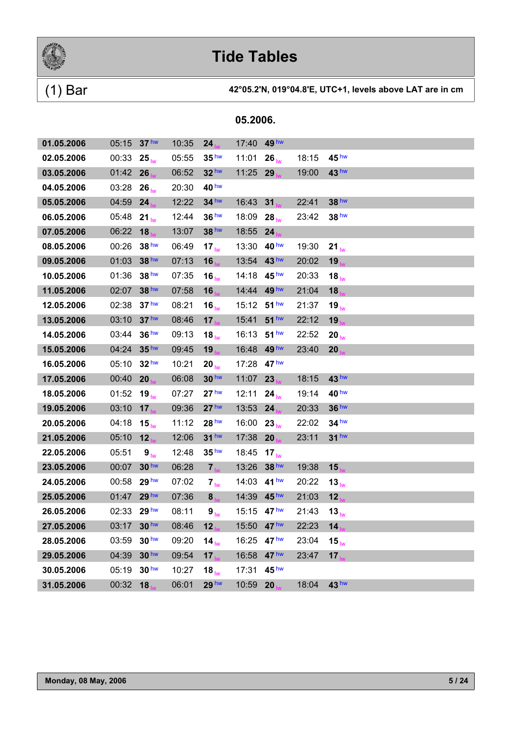

|  | 05.2006. |
|--|----------|
|  |          |

| 01.05.2006 | 05:15      | 37 <sup>hw</sup> | 10:35 | 24                | 17:40 | 49 hw                 |       |                   |
|------------|------------|------------------|-------|-------------------|-------|-----------------------|-------|-------------------|
| 02.05.2006 | 00:33      | $25_{\text{lw}}$ | 05:55 | 35 <sup>hw</sup>  | 11:01 | $26_{\text{lw}}$      | 18:15 | 45 <sup>hw</sup>  |
| 03.05.2006 | 01:42      | 26               | 06:52 | 32 <sup>hw</sup>  | 11:25 | 29                    | 19:00 | 43 <sup>hw</sup>  |
| 04.05.2006 | 03:28      | $26_{\text{lw}}$ | 20:30 | 40 hw             |       |                       |       |                   |
| 05.05.2006 | 04:59      | 24               | 12:22 | $34$ hw           | 16:43 | 31                    | 22:41 | 38 hw             |
| 06.05.2006 | 05:48      | $21_{\text{lw}}$ | 12:44 | 36 <sup>hw</sup>  | 18:09 | $28_{\text{lw}}$      | 23:42 | 38 <sup>hw</sup>  |
| 07.05.2006 | 06:22      | 18               | 13:07 | 38 hw             | 18:55 | 24                    |       |                   |
| 08.05.2006 | 00:26      | 38 <sup>hw</sup> | 06:49 | 17 <sub>lw</sub>  | 13:30 | 40 <sup>hw</sup>      | 19:30 | $21_{\text{lw}}$  |
| 09.05.2006 | 01:03      | 38 hw            | 07:13 | 16                | 13:54 | 43 <sup>hw</sup>      | 20:02 | 19                |
| 10.05.2006 | 01:36      | 38 hw            | 07:35 | $16_{\text{lw}}$  | 14:18 | 45 <sup>hw</sup>      | 20:33 | 18 $_{\text{lw}}$ |
| 11.05.2006 | 02:07      | 38 hw            | 07:58 | 16                | 14:44 | 49 <sup>hw</sup>      | 21:04 | 18                |
| 12.05.2006 | 02:38      | 37 <sup>hw</sup> | 08:21 | $16_{\text{lw}}$  | 15:12 | 51 hw                 | 21:37 | $19_{\text{lw}}$  |
| 13.05.2006 | 03:10      | 37 <sup>hw</sup> | 08:46 | 17 <sub>1</sub>   | 15:41 | 51 <sup>hw</sup>      | 22:12 | 19                |
| 14.05.2006 | 03:44      | 36 <sup>hw</sup> | 09:13 | $18_{\text{lw}}$  | 16:13 | 51 <sup>hw</sup>      | 22:52 | 20 <sub>lw</sub>  |
| 15.05.2006 | 04:24      | 35 <sup>hw</sup> | 09:45 | <b>19 IVA</b>     | 16:48 | 49 <sup>hw</sup>      | 23:40 | 20                |
| 16.05.2006 | 05:10      | 32 <sup>hw</sup> | 10:21 | $20_{\text{lw}}$  | 17:28 | 47 <sup>hw</sup>      |       |                   |
| 17.05.2006 | 00:40      | 20               | 06:08 | 30 <sup>hw</sup>  | 11:07 | 23                    | 18:15 | 43 <sup>hw</sup>  |
| 18.05.2006 | 01:52      | 19 <sub>lw</sub> | 07:27 | 27 <sup>hw</sup>  | 12:11 | 24 <sub>lw</sub>      | 19:14 | 40 <sup>hw</sup>  |
| 19.05.2006 | 03:10      | 17 <sub>h</sub>  | 09:36 | 27 <sup>hw</sup>  | 13:53 | 24                    | 20:33 | 36 hw             |
| 20.05.2006 | 04:18      | $15_{\text{lw}}$ | 11:12 | 28 <sup>hw</sup>  | 16:00 | 23 <sub>lw</sub>      | 22:02 | $34$ hw           |
| 21.05.2006 | 05:10      | 12               | 12:06 | 31 <sup>hw</sup>  | 17:38 | 20                    | 23:11 | 31 <sup>hw</sup>  |
| 22.05.2006 | 05:51      | 9 <sub>lw</sub>  | 12:48 | 35 <sup>hw</sup>  | 18:45 | 17 <sub>lw</sub>      |       |                   |
| 23.05.2006 | 00:07      | 30 <sup>hw</sup> | 06:28 | 7 <sub>hs</sub>   | 13:26 | 38 <sup>hw</sup>      | 19:38 | 15 <sub>1</sub>   |
| 24.05.2006 | 00:58      | 29 <sup>hw</sup> | 07:02 | $7_{\text{lw}}$   | 14:03 | 41 <sup>hw</sup>      | 20:22 | $13_{\text{lw}}$  |
| 25.05.2006 | 01:47      | 29 hw            | 07:36 | 8 <sub>hs</sub>   | 14:39 | 45 <sup>hw</sup>      | 21:03 | 12                |
| 26.05.2006 | 02:33 29hw |                  | 08:11 | 9 <sub>lw</sub>   |       | 15:15 $47 \text{ hw}$ | 21:43 | $13_{\text{lw}}$  |
| 27.05.2006 | 03:17      | 30 <sup>hw</sup> | 08:46 | 12                | 15:50 | 47 <sup>hw</sup>      | 22:23 | 14                |
| 28.05.2006 | 03:59      | 30 <sup>hw</sup> | 09:20 | 14 $_{\text{lw}}$ | 16:25 | 47 <sup>hw</sup>      | 23:04 | 15 <sub>lw</sub>  |
| 29.05.2006 | 04:39      | 30 hw            | 09:54 | 17                | 16:58 | 47 <sup>hw</sup>      | 23:47 | 17 <sub>1</sub>   |
| 30.05.2006 | 05:19      | 30 <sup>hw</sup> | 10:27 | $18_{\text{lw}}$  | 17:31 | 45 <sup>hw</sup>      |       |                   |
| 31.05.2006 | 00:32      | 18               | 06:01 | 29 hw             | 10:59 | 20                    | 18:04 | 43 hw             |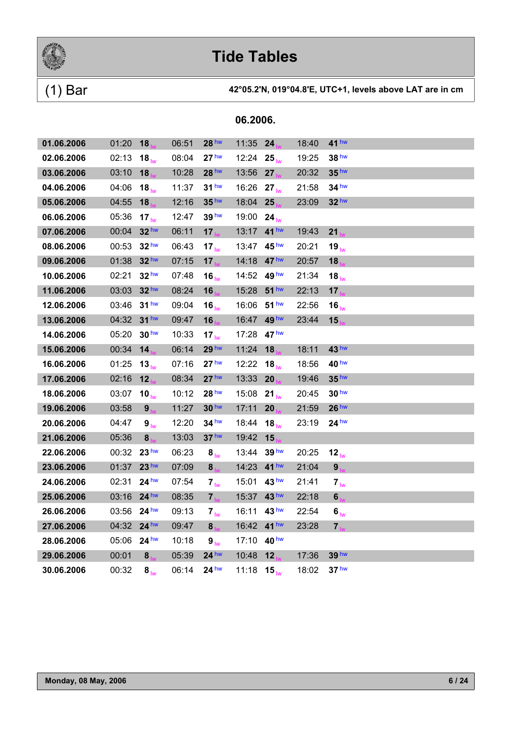

### (1) Bar **42°05.2'N, 019°04.8'E, UTC+1, levels above LAT are in cm**

| 01.06.2006 | 01:20       | 18                | 06:51 | 28 hw                | 11:35 24 |                  | 18:40 | 41 <sup>hw</sup> |  |  |
|------------|-------------|-------------------|-------|----------------------|----------|------------------|-------|------------------|--|--|
| 02.06.2006 | 02:13       | $18_{\text{lw}}$  | 08:04 | 27 <sup>hw</sup>     | 12:24    | $25_{\text{hw}}$ | 19:25 | 38 hw            |  |  |
| 03.06.2006 | 03:10       | 18                | 10:28 | 28 hw                | 13:56    | 27               | 20:32 | 35 <sup>hw</sup> |  |  |
| 04.06.2006 | 04:06       | $18_{\text{lw}}$  | 11:37 | 31 <sup>hw</sup>     | 16:26    | $27_{hw}$        | 21:58 | $34$ hw          |  |  |
| 05.06.2006 | 04:55       | 18                | 12:16 | 35 hw                | 18:04    | 25               | 23:09 | 32 hw            |  |  |
| 06.06.2006 | 05:36       | 17 <sub>lw</sub>  | 12:47 | 39 <sup>hw</sup>     | 19:00    | $24_{\text{lw}}$ |       |                  |  |  |
| 07.06.2006 | 00:04       | 32 hw             | 06:11 | 17                   | 13:17    | 41 <sup>hw</sup> | 19:43 | 21               |  |  |
| 08.06.2006 | 00:53       | 32 <sup>hw</sup>  | 06:43 | $17_{\text{hw}}$     | 13:47    | 45 <sup>hw</sup> | 20:21 | $19_{\text{lw}}$ |  |  |
| 09.06.2006 | 01:38       | 32 <sup>hw</sup>  | 07:15 | 17                   | 14:18    | 47 <sup>hw</sup> | 20:57 | 18               |  |  |
| 10.06.2006 | 02:21       | 32 <sup>hw</sup>  | 07:48 | 16 <sub>hw</sub>     | 14:52    | 49 <sup>hw</sup> | 21:34 | $18_{\text{lw}}$ |  |  |
| 11.06.2006 | 03:03       | 32 hw             | 08:24 | 16                   | 15:28    | $51$ hw          | 22:13 | 17               |  |  |
| 12.06.2006 | 03:46       | 31 <sup>hw</sup>  | 09:04 | 16 <sub>lw</sub>     | 16:06    | 51 <sup>hw</sup> | 22:56 | 16 <sub>lw</sub> |  |  |
| 13.06.2006 | 04:32       | $31$ hw           | 09:47 | 16                   | 16:47    | 49 hw            | 23:44 | 15               |  |  |
| 14.06.2006 | 05:20       | 30 <sup>hw</sup>  | 10:33 | $17_{\text{lw}}$     | 17:28    | 47 <sup>hw</sup> |       |                  |  |  |
| 15.06.2006 | 00:34       | 14                | 06:14 | 29 <sup>hw</sup>     | 11:24    | 18               | 18:11 | 43 <sup>hw</sup> |  |  |
| 16.06.2006 | 01:25       | 13 <sub>lw</sub>  | 07:16 | 27 <sup>hw</sup>     | 12:22    | 18 <sub>hw</sub> | 18:56 | 40 <sup>hw</sup> |  |  |
| 17.06.2006 | 02:16       | 12                | 08:34 | 27 <sup>hw</sup>     | 13:33    | 20               | 19:46 | 35 <sup>hw</sup> |  |  |
| 18.06.2006 | 03:07       | 10 $_{\text{lw}}$ | 10:12 | 28 <sup>hw</sup>     | 15:08    | $21_{\text{lw}}$ | 20:45 | 30 <sup>hw</sup> |  |  |
| 19.06.2006 | 03:58       | 9 <sub>h</sub>    | 11:27 | 30 <sup>hw</sup>     | 17:11    | 20               | 21:59 | 26 <sup>hw</sup> |  |  |
| 20.06.2006 | 04:47       | 9 <sub>lw</sub>   | 12:20 | 34 hw                | 18:44    | $18_{\text{lw}}$ | 23:19 | 24 <sup>hw</sup> |  |  |
| 21.06.2006 | 05:36       | 8 <sub>1</sub>    | 13:03 | 37 <sup>hw</sup>     | 19:42    | 15               |       |                  |  |  |
| 22.06.2006 | 00:32 23 hw |                   | 06:23 | 8 <sub>lw</sub>      | 13:44    | 39 <sup>hw</sup> | 20:25 | 12 <sub>lw</sub> |  |  |
| 23.06.2006 | 01:37       | 23 <sup>hw</sup>  | 07:09 | 8 <sub>1</sub>       | 14:23    | 41 <sup>hw</sup> | 21:04 | 9                |  |  |
| 24.06.2006 | 02:31       | $24^{\text{hw}}$  | 07:54 | $7_{\text{lw}}$      | 15:01    | 43 <sup>hw</sup> | 21:41 | $7_{\text{lw}}$  |  |  |
| 25.06.2006 | 03:16       | 24 <sup>hw</sup>  | 08:35 | $7_{\text{hs}}$      | 15:37    | 43 <sup>hw</sup> | 22:18 | $6\phantom{a}$   |  |  |
| 26.06.2006 | 03:56       | 24 <sup>hw</sup>  | 09:13 | 7 <sub>lw</sub>      | 16:11    | 43 <sup>hw</sup> | 22:54 | 6 <sub>iw</sub>  |  |  |
| 27.06.2006 | 04:32       | 24 <sup>hw</sup>  | 09:47 | $8_{\dots}$          | 16:42    | 41 <sup>hw</sup> | 23:28 | $7_{hs}$         |  |  |
| 28.06.2006 | 05:06 24 hw |                   | 10:18 | $\bm{9}_{\text{lw}}$ | 17:10    | 40 hw            |       |                  |  |  |
| 29.06.2006 | 00:01       | 8                 | 05:39 | 24 <sup>hw</sup>     | 10:48    | 12               | 17:36 | 39 <sup>hw</sup> |  |  |
| 30.06.2006 | 00:32       | 8 <sub>hw</sub>   | 06:14 | 24 <sup>hw</sup>     | 11:18    | $15_{h\nu}$      | 18:02 | 37 <sup>hw</sup> |  |  |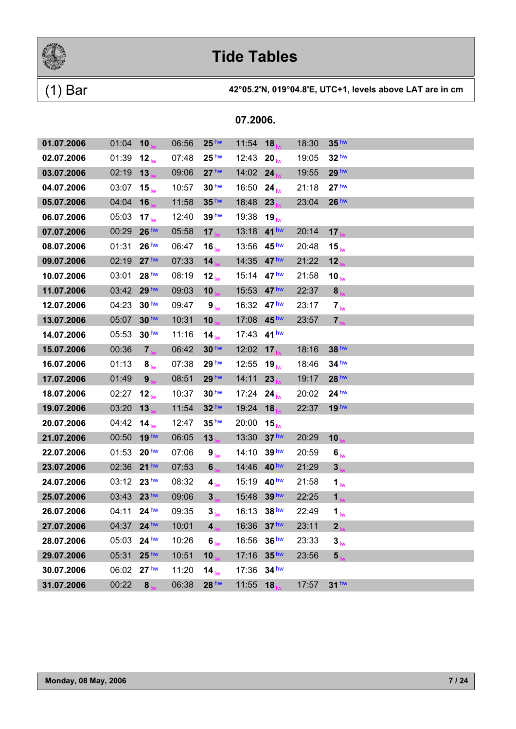

### (1) Bar **42°05.2'N, 019°04.8'E, UTC+1, levels above LAT are in cm**

| 01.07.2006 | 01:04       | 10                | 06:56 | 25 <sup>hw</sup>  | 11:54 | 18               | 18:30 | 35 <sup>hw</sup>             |  |  |
|------------|-------------|-------------------|-------|-------------------|-------|------------------|-------|------------------------------|--|--|
| 02.07.2006 | 01:39       | 12 <sub>lw</sub>  | 07:48 | 25 <sup>hw</sup>  | 12:43 | $20_{\text{lw}}$ | 19:05 | 32 <sup>hw</sup>             |  |  |
| 03.07.2006 | 02:19       | 13                | 09:06 | 27 <sup>hw</sup>  | 14:02 | 24               | 19:55 | 29 <sup>hw</sup>             |  |  |
| 04.07.2006 | 03:07       | $15_{\text{lw}}$  | 10:57 | 30 <sup>hw</sup>  | 16:50 | $24_{\text{lw}}$ | 21:18 | 27 <sup>hw</sup>             |  |  |
| 05.07.2006 | 04:04       | 16                | 11:58 | 35 <sup>hw</sup>  | 18:48 | 23               | 23:04 | 26 <sup>hw</sup>             |  |  |
| 06.07.2006 | 05:03       | 17 <sub>lw</sub>  | 12:40 | 39 <sup>hw</sup>  | 19:38 | $19_{\text{lw}}$ |       |                              |  |  |
| 07.07.2006 | 00:29       | 26 <sup>hw</sup>  | 05:58 | 17 <sub>1</sub>   | 13:18 | $41$ hw          | 20:14 | 17                           |  |  |
| 08.07.2006 | 01:31       | 26 <sup>hw</sup>  | 06:47 | 16 <sub>lw</sub>  | 13:56 | 45 <sup>hw</sup> | 20:48 | 15 <sub>lw</sub>             |  |  |
| 09.07.2006 | 02:19       | 27 <sup>hw</sup>  | 07:33 | 14 <sub>1</sub>   | 14:35 | 47 <sup>hw</sup> | 21:22 | 12 <sub>1</sub>              |  |  |
| 10.07.2006 | 03:01       | 28 <sup>hw</sup>  | 08:19 | 12 $_{\text{lw}}$ | 15:14 | 47 <sup>hw</sup> | 21:58 | 10 $_{\text{lw}}$            |  |  |
| 11.07.2006 | 03:42       | 29 hw             | 09:03 | 10                | 15:53 | 47 <sup>hw</sup> | 22:37 | 8                            |  |  |
| 12.07.2006 | 04:23       | 30 <sup>hw</sup>  | 09:47 | 9 <sub>lw</sub>   | 16:32 | 47 <sup>hw</sup> | 23:17 | $7_{\text{lw}}$              |  |  |
| 13.07.2006 | 05:07       | 30 hw             | 10:31 | 10                | 17:08 | 45 <sup>hw</sup> | 23:57 | 7 <sub>1</sub>               |  |  |
| 14.07.2006 | 05:53       | 30 <sup>hw</sup>  | 11:16 | 14 $_{\text{lw}}$ | 17:43 | 41 <sup>hw</sup> |       |                              |  |  |
| 15.07.2006 | 00:36       | 7 <sub>ha</sub>   | 06:42 | 30 <sup>hw</sup>  | 12:02 | 17               | 18:16 | 38 hw                        |  |  |
| 16.07.2006 | 01:13       | 8 <sub>lw</sub>   | 07:38 | 29 <sup>hw</sup>  | 12:55 | 19 <sub>lw</sub> | 18:46 | $34$ hw                      |  |  |
| 17.07.2006 | 01:49       | 9 <sub>1</sub>    | 08:51 | 29 hw             | 14:11 | 23               | 19:17 | 28 hw                        |  |  |
| 18.07.2006 | 02:27       | 12 <sub>lw</sub>  | 10:37 | 30 <sup>hw</sup>  | 17:24 | $24_{\text{lw}}$ | 20:02 | 24 <sup>hw</sup>             |  |  |
| 19.07.2006 | 03:20       | 13                | 11:54 | 32 <sup>hw</sup>  | 19:24 | 18               | 22:37 | 19 <sup>hw</sup>             |  |  |
| 20.07.2006 | 04:42       | 14 $_{\text{lw}}$ | 12:47 | 35 <sup>hw</sup>  | 20:00 | $15_{\text{lw}}$ |       |                              |  |  |
| 21.07.2006 | 00:50       | 19 <sup>hw</sup>  | 06:05 | 13                | 13:30 | 37 <sup>hw</sup> | 20:29 | 10                           |  |  |
| 22.07.2006 | 01:53       | 20 <sup>hw</sup>  | 07:06 | 9 <sub>lw</sub>   | 14:10 | 39 <sup>hw</sup> | 20:59 | $\boldsymbol{6}_{\text{lw}}$ |  |  |
| 23.07.2006 | 02:36       | $21$ hw           | 07:53 | $6\phantom{1}$    | 14:46 | 40 <sup>hw</sup> | 21:29 | 3 <sub>1</sub>               |  |  |
| 24.07.2006 | 03:12 23 hw |                   | 08:32 | 4 <sub>lw</sub>   | 15:19 | 40 <sup>hw</sup> | 21:58 | 1 <sub>lw</sub>              |  |  |
| 25.07.2006 | 03:43       | 23 <sup>hw</sup>  | 09:06 | 3 <sub>1</sub>    | 15:48 | 39 hw            | 22:25 | 1 <sub>1</sub>               |  |  |
| 26.07.2006 | 04:11       | $24$ hw           | 09:35 | $3_{\text{lw}}$   | 16:13 | 38 <sup>hw</sup> | 22:49 | 1 <sub>lw</sub>              |  |  |
| 27.07.2006 | 04:37 24 hw |                   | 10:01 | 4                 | 16:36 | 37 <sup>hw</sup> | 23:11 | $\mathbf{2}$                 |  |  |
| 28.07.2006 | 05:03 24 hw |                   | 10:26 | 6 <sub>lw</sub>   | 16:56 | 36 <sup>hw</sup> | 23:33 | 3 <sub>iw</sub>              |  |  |
| 29.07.2006 | 05:31       | 25 <sup>hw</sup>  | 10:51 | 10                | 17:16 | 35 <sup>hw</sup> | 23:56 | 5                            |  |  |
| 30.07.2006 | 06:02 27 hw |                   | 11:20 | $14_{\text{lw}}$  | 17:36 | $34$ hw          |       |                              |  |  |
| 31.07.2006 | 00:22       | 8 <sub>1</sub>    | 06:38 | 28 hw             | 11:55 | 18               | 17:57 | $31$ hw                      |  |  |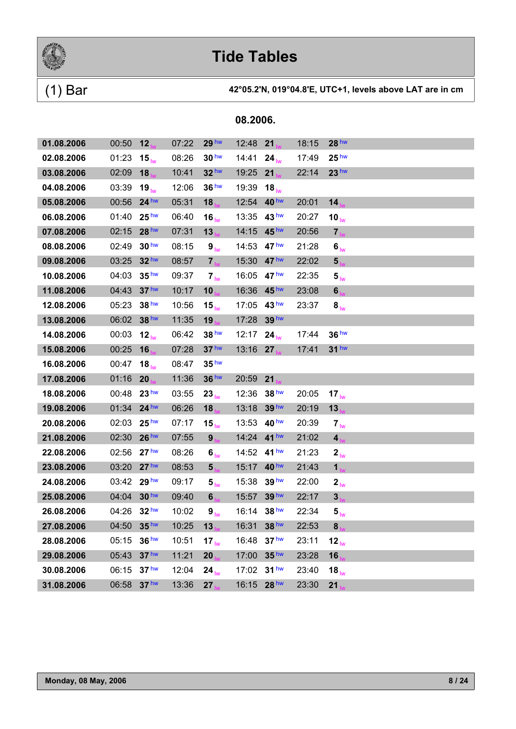

### (1) Bar **42°05.2'N, 019°04.8'E, UTC+1, levels above LAT are in cm**

| 01.08.2006 | 00:50       | 12                | 07:22 | 29 <sup>hw</sup>  | 12:48 | 21               | 18:15 | 28 <sup>hw</sup>             |  |  |
|------------|-------------|-------------------|-------|-------------------|-------|------------------|-------|------------------------------|--|--|
| 02.08.2006 | 01:23       | $15_{\text{lw}}$  | 08:26 | 30 <sup>hw</sup>  | 14:41 | $24_{\text{lw}}$ | 17:49 | 25 <sup>hw</sup>             |  |  |
| 03.08.2006 | 02:09       | 18                | 10:41 | $32$ hw           | 19:25 | 21               | 22:14 | 23 <sup>hw</sup>             |  |  |
| 04.08.2006 | 03:39       | $19_{\text{lw}}$  | 12:06 | 36 <sup>hw</sup>  | 19:39 | 18 <sub>lw</sub> |       |                              |  |  |
| 05.08.2006 | 00:56       | $24$ hw           | 05:31 | 18                | 12:54 | 40 <sup>hw</sup> | 20:01 | 14                           |  |  |
| 06.08.2006 | 01:40       | 25 <sup>hw</sup>  | 06:40 | $16_{\text{lw}}$  | 13:35 | 43 <sup>hw</sup> | 20:27 | 10 $_{\text{lw}}$            |  |  |
| 07.08.2006 | 02:15       | 28 hw             | 07:31 | 13                | 14:15 | 45 <sup>hw</sup> | 20:56 | 7 <sub>k</sub>               |  |  |
| 08.08.2006 | 02:49       | 30 <sup>hw</sup>  | 08:15 | 9 <sub>lw</sub>   | 14:53 | 47 <sup>hw</sup> | 21:28 | $\boldsymbol{6}_{\text{lw}}$ |  |  |
| 09.08.2006 | 03:25       | 32 hw             | 08:57 | $7_{h}$           | 15:30 | 47 <sup>hw</sup> | 22:02 | 5 <sub>1M</sub>              |  |  |
| 10.08.2006 | 04:03       | 35 <sup>hw</sup>  | 09:37 | 7 <sub>lw</sub>   | 16:05 | 47 hw            | 22:35 | $5_{\text{lw}}$              |  |  |
| 11.08.2006 | 04:43       | 37 <sup>hw</sup>  | 10:17 | 10                | 16:36 | 45 <sup>hw</sup> | 23:08 | $6\phantom{a}$               |  |  |
| 12.08.2006 | 05:23       | 38 <sup>hw</sup>  | 10:56 | 15 <sub>lw</sub>  | 17:05 | 43 <sup>hw</sup> | 23:37 | 8 <sub>lw</sub>              |  |  |
| 13.08.2006 | 06:02       | 38 hw             | 11:35 | 19                | 17:28 | 39 hw            |       |                              |  |  |
| 14.08.2006 | 00:03       | 12 <sub>lw</sub>  | 06:42 | 38 hw             | 12:17 | $24_{\text{lw}}$ | 17:44 | 36 <sup>hw</sup>             |  |  |
| 15.08.2006 | 00:25       | 16                | 07:28 | 37 <sup>hw</sup>  | 13:16 | 27               | 17:41 | 31 <sup>hw</sup>             |  |  |
| 16.08.2006 | 00:47       | 18 $_{\text{lw}}$ | 08:47 | 35 <sup>hw</sup>  |       |                  |       |                              |  |  |
| 17.08.2006 | 01:16       | 20                | 11:36 | 36 hw             | 20:59 | 21               |       |                              |  |  |
| 18.08.2006 | 00:48       | 23 <sup>hw</sup>  | 03:55 | $23_{\text{lw}}$  | 12:36 | 38 <sup>hw</sup> | 20:05 | 17 $_{\text{lw}}$            |  |  |
| 19.08.2006 | 01:34       | 24 hw             | 06:26 | 18                | 13:18 | 39 hw            | 20:19 | 13 <sub>1</sub>              |  |  |
| 20.08.2006 | 02:03       | 25 <sup>hw</sup>  | 07:17 | 15 $_{\text{lw}}$ | 13:53 | 40 <sup>hw</sup> | 20:39 | 7 <sub>lw</sub>              |  |  |
| 21.08.2006 | 02:30       | 26 <sup>hw</sup>  | 07:55 | 9 <sub>1</sub>    | 14:24 | 41 <sup>hw</sup> | 21:02 | 4 <sub>1</sub>               |  |  |
| 22.08.2006 | 02:56       | 27 <sup>hw</sup>  | 08:26 | 6 <sub>lw</sub>   | 14:52 | 41 hw            | 21:23 | $2_{\text{lw}}$              |  |  |
| 23.08.2006 | 03:20       | 27 <sup>hw</sup>  | 08:53 | 5 <sub>h</sub>    | 15:17 | 40 <sup>hw</sup> | 21:43 | 1 <sub>b</sub>               |  |  |
| 24.08.2006 | 03:42 29 hw |                   | 09:17 | 5 <sub>lw</sub>   | 15:38 | 39 <sup>hw</sup> | 22:00 | 2 <sub>lw</sub>              |  |  |
| 25.08.2006 | 04:04       | 30 <sup>hw</sup>  | 09:40 | 6 <sub>h</sub>    | 15:57 | 39 hw            | 22:17 | $\mathbf{3}$                 |  |  |
| 26.08.2006 | 04:26       | 32 <sup>hw</sup>  | 10:02 | 9 <sub>lw</sub>   | 16:14 | 38 <sup>hw</sup> | 22:34 | $\mathbf{5}_{\text{lw}}$     |  |  |
| 27.08.2006 | 04:50 35hw  |                   | 10:25 | 13                | 16:31 | 38 hw            | 22:53 | 8                            |  |  |
| 28.08.2006 | 05:15       | 36 <sup>hw</sup>  | 10:51 | 17 $_{\text{lw}}$ | 16:48 | 37 <sup>hw</sup> | 23:11 | $12_{\text{lw}}$             |  |  |
| 29.08.2006 | 05:43       | 37 <sup>hw</sup>  | 11:21 | 20                | 17:00 | 35 <sup>hw</sup> | 23:28 | 16                           |  |  |
| 30.08.2006 | 06:15       | 37 <sup>hw</sup>  | 12:04 | $24_{\text{lw}}$  | 17:02 | 31 <sup>hw</sup> | 23:40 | $18_{\text{lw}}$             |  |  |
| 31.08.2006 | 06:58       | 37 hw             | 13:36 | 27                | 16:15 | 28 hw            | 23:30 | 21                           |  |  |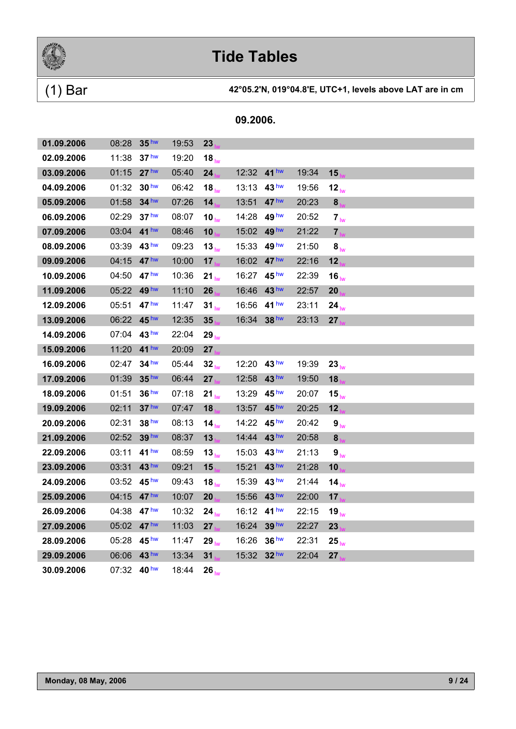

### (1) Bar **42°05.2'N, 019°04.8'E, UTC+1, levels above LAT are in cm**

| 01.09.2006 | 08:28       | 35 <sup>hw</sup> | 19:53 | 23                |       |                  |       |                      |  |  |
|------------|-------------|------------------|-------|-------------------|-------|------------------|-------|----------------------|--|--|
| 02.09.2006 | 11:38       | 37 <sup>hw</sup> | 19:20 | $18_{\text{lw}}$  |       |                  |       |                      |  |  |
| 03.09.2006 | 01:15       | 27 <sup>hw</sup> | 05:40 | 24                | 12:32 | 41 <sup>hw</sup> | 19:34 | 15                   |  |  |
| 04.09.2006 | 01:32       | 30 <sup>hw</sup> | 06:42 | $18_{\text{lw}}$  | 13:13 | 43 <sup>hw</sup> | 19:56 | 12 <sub>lw</sub>     |  |  |
| 05.09.2006 | 01:58       | 34 hw            | 07:26 | 14                | 13:51 | 47 <sup>hw</sup> | 20:23 | 8                    |  |  |
| 06.09.2006 | 02:29       | 37 <sup>hw</sup> | 08:07 | 10 $_{\text{lw}}$ | 14:28 | 49 hw            | 20:52 | $7_{\text{lw}}$      |  |  |
| 07.09.2006 | 03:04       | 41 <sup>hw</sup> | 08:46 | 10                | 15:02 | 49 hw            | 21:22 | $\overline{7}$       |  |  |
| 08.09.2006 | 03:39       | 43 <sup>hw</sup> | 09:23 | $13_{\text{lw}}$  | 15:33 | 49 hw            | 21:50 | 8 <sub>lw</sub>      |  |  |
| 09.09.2006 | 04:15       | 47 <sup>hw</sup> | 10:00 | 17                | 16:02 | 47 <sup>hw</sup> | 22:16 | 12                   |  |  |
| 10.09.2006 | 04:50       | 47 <sup>hw</sup> | 10:36 | $21_{\text{lw}}$  | 16:27 | 45 <sup>hw</sup> | 22:39 | $16_{\text{lw}}$     |  |  |
| 11.09.2006 | 05:22       | 49 hw            | 11:10 | 26                | 16:46 | 43 hw            | 22:57 | 20                   |  |  |
| 12.09.2006 | 05:51       | 47 <sup>hw</sup> | 11:47 | 31 <sub>lw</sub>  | 16:56 | 41 <sup>hw</sup> | 23:11 | $24_{\text{lw}}$     |  |  |
| 13.09.2006 | 06:22 45hw  |                  | 12:35 | 35                | 16:34 | 38 <sup>hw</sup> | 23:13 | 27                   |  |  |
| 14.09.2006 | 07:04       | 43 <sup>hw</sup> | 22:04 | $29_{\text{lw}}$  |       |                  |       |                      |  |  |
| 15.09.2006 | 11:20       | 41 <sup>hw</sup> | 20:09 | 27                |       |                  |       |                      |  |  |
| 16.09.2006 | 02:47       | 34 <sup>hw</sup> | 05:44 | $32_{\text{lw}}$  | 12:20 | 43 <sup>hw</sup> | 19:39 | 23 <sub>lw</sub>     |  |  |
| 17.09.2006 | 01:39       | 35 <sup>hw</sup> | 06:44 | 27                | 12:58 | 43 <sup>hw</sup> | 19:50 | 18                   |  |  |
| 18.09.2006 | 01:51       | 36 <sup>hw</sup> | 07:18 | 21 <sub>lw</sub>  | 13:29 | 45 <sup>hw</sup> | 20:07 | 15 $_{\text{lw}}$    |  |  |
| 19.09.2006 | 02:11       | 37 <sup>hw</sup> | 07:47 | 18                | 13:57 | 45 <sup>hw</sup> | 20:25 | 12                   |  |  |
| 20.09.2006 | 02:31       | 38 hw            | 08:13 | $14_{\text{lw}}$  | 14:22 | 45 <sup>hw</sup> | 20:42 | $\bm{9}_{\text{lw}}$ |  |  |
| 21.09.2006 | 02:52       | 39 hw            | 08:37 | 13                | 14:44 | 43 <sup>hw</sup> | 20:58 | 8                    |  |  |
| 22.09.2006 | 03:11       | 41 <sup>hw</sup> | 08:59 | $13_{\text{lw}}$  | 15:03 | 43 <sup>hw</sup> | 21:13 | 9 <sub>iw</sub>      |  |  |
| 23.09.2006 | 03:31       | 43 hw            | 09:21 | 15                | 15:21 | 43 hw            | 21:28 | 10                   |  |  |
| 24.09.2006 | 03:52       | 45 <sup>hw</sup> | 09:43 | $18_{\text{lw}}$  | 15:39 | 43 <sup>hw</sup> | 21:44 | 14 <sub>lw</sub>     |  |  |
| 25.09.2006 | 04:15       | 47 <sup>hw</sup> | 10:07 | 20                | 15:56 | 43 <sup>hw</sup> | 22:00 | 17 <sub>1</sub>      |  |  |
| 26.09.2006 | 04:38       | 47 <sup>hw</sup> | 10:32 | $24_{\text{hw}}$  | 16:12 | 41 <sup>hw</sup> | 22:15 | $19_{\text{lw}}$     |  |  |
| 27.09.2006 | 05:02       | 47 <sup>hw</sup> | 11:03 | 27                | 16:24 | 39 hw            | 22:27 | 23                   |  |  |
| 28.09.2006 | 05:28       | 45 <sup>hw</sup> | 11:47 | $29_{\text{lw}}$  | 16:26 | 36 <sup>hw</sup> | 22:31 | $25_{\text{lw}}$     |  |  |
| 29.09.2006 | 06:06       | 43 <sup>hw</sup> | 13:34 | 31                | 15:32 | $32$ hw          | 22:04 | 27                   |  |  |
| 30.09.2006 | 07:32 40 hw |                  | 18:44 | $26_{\text{lw}}$  |       |                  |       |                      |  |  |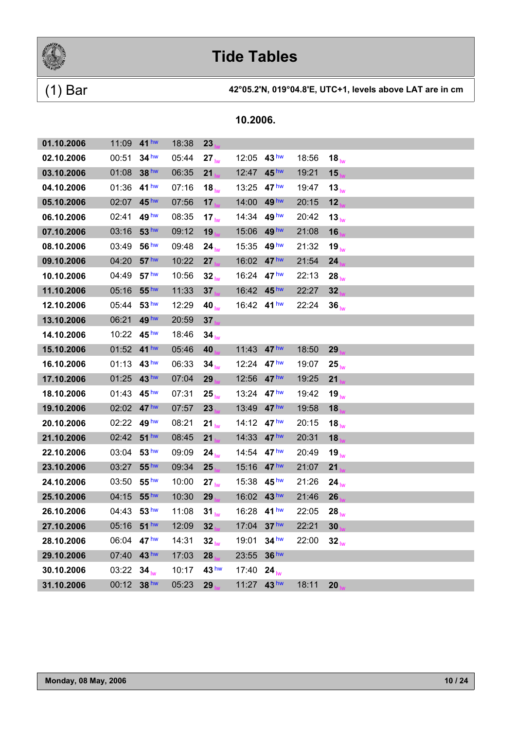

### (1) Bar **42°05.2'N, 019°04.8'E, UTC+1, levels above LAT are in cm**

| 01.10.2006 | 11:09       | 41 <sup>hw</sup>     | 18:38 | 23                |             |                  |       |                   |
|------------|-------------|----------------------|-------|-------------------|-------------|------------------|-------|-------------------|
| 02.10.2006 | 00:51       | 34 hw                | 05:44 | $27_{\text{lw}}$  | 12:05       | 43 <sup>hw</sup> | 18:56 | 18 $_{\text{lw}}$ |
| 03.10.2006 | 01:08       | 38 <sup>hw</sup>     | 06:35 | 21                | 12:47       | 45 <sup>hw</sup> | 19:21 | 15                |
| 04.10.2006 | 01:36 41 hw |                      | 07:16 | $18_{\text{lw}}$  | 13:25       | 47 hw            | 19:47 | $13_{\text{lw}}$  |
| 05.10.2006 | 02:07       | 45 hw                | 07:56 | 17                | 14:00       | 49 <sup>hw</sup> | 20:15 | 12                |
| 06.10.2006 | 02:41       | 49 <sup>hw</sup>     | 08:35 | 17 <sub>lw</sub>  | 14:34       | 49 <sup>hw</sup> | 20:42 | $13_{\text{lw}}$  |
| 07.10.2006 | 03:16       | 53 hw                | 09:12 | 19                | 15:06       | 49 <sup>hw</sup> | 21:08 | 16                |
| 08.10.2006 | 03:49       | 56 <sup>hw</sup>     | 09:48 | $24_{\text{lw}}$  | 15:35       | 49 <sup>hw</sup> | 21:32 | $19_{\text{lw}}$  |
| 09.10.2006 | 04:20       | 57 <sup>hw</sup>     | 10:22 | 27                | 16:02       | 47 <sup>hw</sup> | 21:54 | 24                |
| 10.10.2006 | 04:49       | 57 <sup>hw</sup>     | 10:56 | 32 <sub>lw</sub>  | 16:24 47 hw |                  | 22:13 | $28_{\text{lw}}$  |
| 11.10.2006 | 05:16       | 55 <sup>hw</sup>     | 11:33 | 37                | 16:42 45 hw |                  | 22:27 | 32                |
| 12.10.2006 | 05:44       | 53 <sup>hw</sup>     | 12:29 | 40 $_{\text{lw}}$ | 16:42 41 hw |                  | 22:24 | 36 <sub>hw</sub>  |
| 13.10.2006 | 06:21       | 49 hw                | 20:59 | 37                |             |                  |       |                   |
| 14.10.2006 | 10:22       | 45 <sup>hw</sup>     | 18:46 | 34 <sub>hw</sub>  |             |                  |       |                   |
| 15.10.2006 | 01:52 41 hw |                      | 05:46 | 40                | 11:43       | 47 <sup>hw</sup> | 18:50 | 29                |
| 16.10.2006 | 01:13       | 43 hw                | 06:33 | $34_{\text{lw}}$  | 12:24       | 47 <sup>hw</sup> | 19:07 | $25_{\text{lw}}$  |
| 17.10.2006 | 01:25       | 43 <sup>hw</sup>     | 07:04 | 29                | 12:56       | 47 <sup>hw</sup> | 19:25 | 21                |
| 18.10.2006 | 01:43       | 45 <sup>hw</sup>     | 07:31 | $25_{h}$          | 13:24       | 47 hw            | 19:42 | 19 <sub>lw</sub>  |
| 19.10.2006 | 02:02       | 47 hw                | 07:57 | 23                | 13:49       | 47 <sup>hw</sup> | 19:58 | 18                |
| 20.10.2006 | 02:22       | 49 hw                | 08:21 | $21_{\text{lw}}$  | 14:12       | 47 <sup>hw</sup> | 20:15 | $18_{\text{lw}}$  |
| 21.10.2006 | 02:42 51hw  |                      | 08:45 | 21                | 14:33       | 47 <sup>hw</sup> | 20:31 | 18                |
| 22.10.2006 | 03:04       | 53 <sup>hw</sup>     | 09:09 | $24_{\text{lw}}$  | 14:54       | 47 <sup>hw</sup> | 20:49 | $19_{\text{lw}}$  |
| 23.10.2006 | 03:27       | 55 <sup>hw</sup>     | 09:34 | 25                | 15:16       | 47 <sup>hw</sup> | 21:07 | 21                |
| 24.10.2006 | 03:50       | $55^{\,\mathrm{hw}}$ | 10:00 | $27_{\text{lw}}$  | 15:38       | 45 <sup>hw</sup> | 21:26 | $24_{\text{lw}}$  |
| 25.10.2006 | 04:15       | 55 <sup>hw</sup>     | 10:30 | 29                | 16:02       | 43 <sup>hw</sup> | 21:46 | 26                |
| 26.10.2006 | 04:43       | 53 <sup>hw</sup>     | 11:08 | 31 <sub>lw</sub>  | 16:28       | 41 <sup>hw</sup> | 22:05 | $28_{\text{lw}}$  |
| 27.10.2006 | 05:16       | 51 <sup>hw</sup>     | 12:09 | 32                | 17:04       | 37 <sup>hw</sup> | 22:21 | 30                |
| 28.10.2006 | 06:04       | 47 <sup>hw</sup>     | 14:31 | 32 <sub>lw</sub>  | 19:01       | 34 <sup>hw</sup> | 22:00 | 32 <sub>lw</sub>  |
| 29.10.2006 | 07:40       | 43 hw                | 17:03 | 28                | 23:55       | 36 <sup>hw</sup> |       |                   |
| 30.10.2006 | 03:22       | 34 <sub>hw</sub>     | 10:17 | 43 <sup>hw</sup>  | 17:40       | $24_{\text{lw}}$ |       |                   |
| 31.10.2006 | 00:12       | 38 <sup>hw</sup>     | 05:23 | 29                | 11:27       | 43 <sup>hw</sup> | 18:11 | 20                |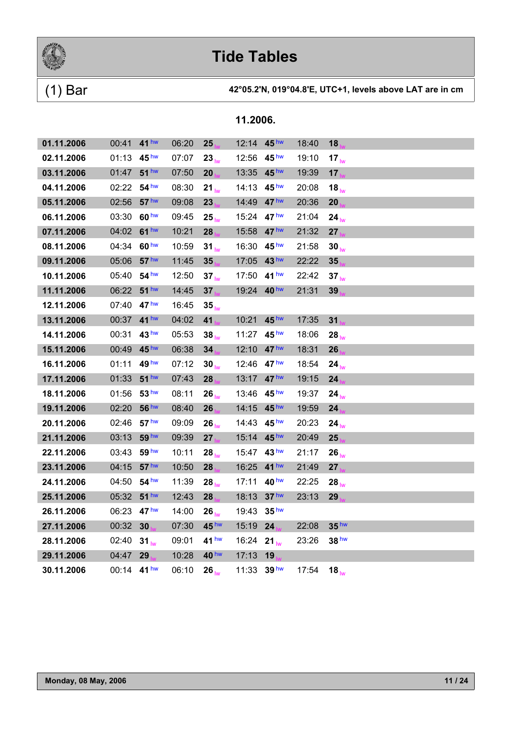

### (1) Bar **42°05.2'N, 019°04.8'E, UTC+1, levels above LAT are in cm**

| 01.11.2006 | 00:41 41 hw |                  | 06:20 | 25               | 12:14 45 hw |                  | 18:40 | 18                |
|------------|-------------|------------------|-------|------------------|-------------|------------------|-------|-------------------|
| 02.11.2006 | 01:13       | 45 <sup>hw</sup> | 07:07 | $23_{\text{hw}}$ | 12:56       | 45 <sup>hw</sup> | 19:10 | 17 <sub>lw</sub>  |
| 03.11.2006 | 01:47       | 51 <sup>hw</sup> | 07:50 | 20               | 13:35       | 45 <sup>hw</sup> | 19:39 | 17 <sub>k</sub>   |
| 04.11.2006 | 02:22 54 hw |                  | 08:30 | $21_{\text{lw}}$ | 14:13       | 45 <sup>hw</sup> | 20:08 | 18 $_{\text{lw}}$ |
| 05.11.2006 | 02:56       | 57 <sup>hw</sup> | 09:08 | 23               | 14:49       | 47 <sup>hw</sup> | 20:36 | 20                |
| 06.11.2006 | 03:30       | 60 <sup>hw</sup> | 09:45 | $25_{\text{lw}}$ | 15:24       | 47 <sup>hw</sup> | 21:04 | $24_{\text{lw}}$  |
| 07.11.2006 | 04:02       | $61$ hw          | 10:21 | 28               | 15:58       | 47 <sup>hw</sup> | 21:32 | 27                |
| 08.11.2006 | 04:34       | 60 <sup>hw</sup> | 10:59 | $31_{\text{lw}}$ | 16:30       | 45 <sup>hw</sup> | 21:58 | $30_{\text{lw}}$  |
| 09.11.2006 | 05:06 57 hw |                  | 11:45 | 35               | 17:05       | 43 <sup>hw</sup> | 22:22 | 35                |
| 10.11.2006 | 05:40       | 54 hw            | 12:50 | 37 <sub>lw</sub> | 17:50       | 41 <sup>hw</sup> | 22:42 | $37_{\text{hw}}$  |
| 11.11.2006 | 06:22 51 hw |                  | 14:45 | 37               | 19:24       | 40 <sup>hw</sup> | 21:31 | 39 <sub>1</sub>   |
| 12.11.2006 | 07:40       | 47 <sup>hw</sup> | 16:45 | 35 <sub>lw</sub> |             |                  |       |                   |
| 13.11.2006 | 00:37 41 hw |                  | 04:02 | 41               | 10:21       | 45 <sup>hw</sup> | 17:35 | 31                |
| 14.11.2006 | 00:31       | 43 <sup>hw</sup> | 05:53 | $38_{\text{lw}}$ | 11:27       | 45 <sup>hw</sup> | 18:06 | $28_{\text{lw}}$  |
| 15.11.2006 | 00:49       | 45 <sup>hw</sup> | 06:38 | 34               | 12:10       | 47 <sup>hw</sup> | 18:31 | 26                |
| 16.11.2006 | 01:11       | 49 hw            | 07:12 | 30 <sub>lw</sub> | 12:46       | 47 <sup>hw</sup> | 18:54 | $24_{\text{lw}}$  |
| 17.11.2006 | 01:33       | 51 <sup>hw</sup> | 07:43 | 28               | 13:17       | 47 <sup>hw</sup> | 19:15 | 24                |
| 18.11.2006 | 01:56       | 53 <sup>hw</sup> | 08:11 | $26_{\text{lw}}$ | 13:46       | 45 <sup>hw</sup> | 19:37 | $24_{\text{lw}}$  |
| 19.11.2006 | 02:20       | 56 hw            | 08:40 | 26               | 14:15       | 45 <sup>hw</sup> | 19:59 | 24                |
| 20.11.2006 | 02:46       | 57 <sup>hw</sup> | 09:09 | $26_{\text{lw}}$ | 14:43       | 45 <sup>hw</sup> | 20:23 | $24_{\text{lw}}$  |
| 21.11.2006 | 03:13       | 59 hw            | 09:39 | 27               | 15:14       | 45 <sup>hw</sup> | 20:49 | 25                |
| 22.11.2006 | 03:43       | 59 hw            | 10:11 | $28_{\text{lw}}$ | 15:47 43 hw |                  | 21:17 | $26_{\text{lw}}$  |
| 23.11.2006 | 04:15       | 57 <sup>hw</sup> | 10:50 | 28               | 16:25       | $41$ hw          | 21:49 | 27                |
| 24.11.2006 | 04:50 54 hw |                  | 11:39 | $28_{\text{lw}}$ | 17:11       | 40 <sup>hw</sup> | 22:25 | $28_{\text{lw}}$  |
| 25.11.2006 | 05:32       | 51 <sup>hw</sup> | 12:43 | 28               | 18:13       | 37 <sup>hw</sup> | 23:13 | 29                |
| 26.11.2006 | 06:23 47 hw |                  | 14:00 | $26_{\text{lw}}$ | 19:43       | 35 <sup>hw</sup> |       |                   |
| 27.11.2006 | 00:32       | 30               | 07:30 | 45 <sup>hw</sup> | 15:19       | 24               | 22:08 | 35 <sup>hw</sup>  |
| 28.11.2006 | 02:40       | $31_{\text{lw}}$ | 09:01 | 41 <sup>hw</sup> | 16:24       | $21_{\text{lw}}$ | 23:26 | 38 <sup>hw</sup>  |
| 29.11.2006 | 04:47       | 29               | 10:28 | 40 <sup>hw</sup> | 17:13       | 19               |       |                   |
| 30.11.2006 | 00:14 41 hw |                  | 06:10 | $26_{\text{hw}}$ | 11:33 39 hw |                  | 17:54 | 18 $_{\text{lw}}$ |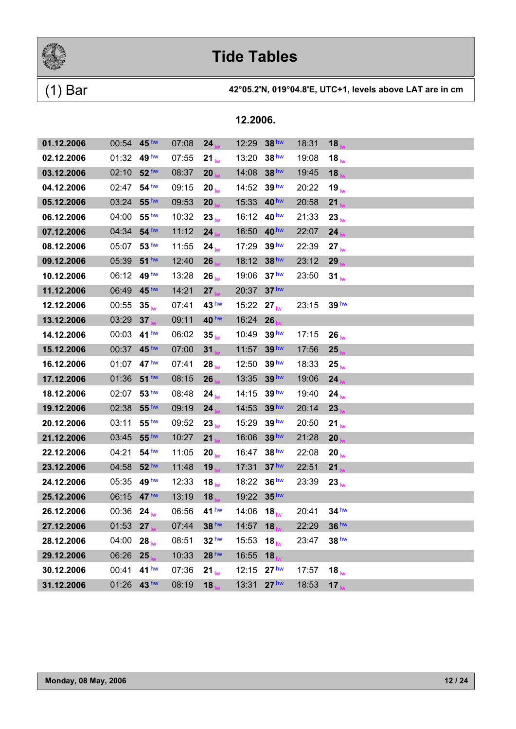

### (1) Bar **42°05.2'N, 019°04.8'E, UTC+1, levels above LAT are in cm**

| 01.12.2006 | 00:54 45 hw |                  | 07:08 | 24               | 12:29    | 38 <sup>hw</sup>  | 18:31 | 18                |
|------------|-------------|------------------|-------|------------------|----------|-------------------|-------|-------------------|
| 02.12.2006 | 01:32       | 49 hw            | 07:55 | $21_{\text{lw}}$ | 13:20    | 38 <sup>hw</sup>  | 19:08 | $18_{\text{lw}}$  |
| 03.12.2006 | 02:10       | 52 <sup>hw</sup> | 08:37 | 20               | 14:08    | 38 <sup>hw</sup>  | 19:45 | 18 <sub>1</sub>   |
| 04.12.2006 | 02:47       | 54 <sup>hw</sup> | 09:15 | 20 <sub>lw</sub> | 14:52    | 39 <sup>hw</sup>  | 20:22 | 19 <sub>lw</sub>  |
| 05.12.2006 | 03:24       | 55 <sup>hw</sup> | 09:53 | 20 <sub>1</sub>  | 15:33    | 40 <sup>hw</sup>  | 20:58 | 21                |
| 06.12.2006 | 04:00       | 55 <sup>hw</sup> | 10:32 | $23_{\text{lw}}$ | 16:12    | 40 <sup>hw</sup>  | 21:33 | 23 <sub>lw</sub>  |
| 07.12.2006 | 04:34       | 54 hw            | 11:12 | 24 <sub>1</sub>  | 16:50    | 40 <sup>hw</sup>  | 22:07 | 24                |
| 08.12.2006 | 05:07       | 53 <sup>hw</sup> | 11:55 | $24_{\text{lw}}$ | 17:29    | 39 <sup>hw</sup>  | 22:39 | $27_{\text{lw}}$  |
| 09.12.2006 | 05:39       | 51 <sup>hw</sup> | 12:40 | 26               | 18:12    | 38 <sup>hw</sup>  | 23:12 | 29                |
| 10.12.2006 | 06:12       | 49 hw            | 13:28 | $26_{\text{lw}}$ | 19:06    | 37 <sup>hw</sup>  | 23:50 | $31_{\text{lw}}$  |
| 11.12.2006 | 06:49       | 45 <sup>hw</sup> | 14:21 | $27_{hs}$        | 20:37    | 37 <sup>hw</sup>  |       |                   |
| 12.12.2006 | 00:55       | 35 <sub>lw</sub> | 07:41 | 43 <sup>hw</sup> | 15:22    | $27_{\text{lw}}$  | 23:15 | 39 <sup>hw</sup>  |
| 13.12.2006 | 03:29       | 37               | 09:11 | 40 <sup>hw</sup> | 16:24    | 26                |       |                   |
| 14.12.2006 | 00:03       | 41 <sup>hw</sup> | 06:02 | $35_{\text{lw}}$ | 10:49    | 39 <sup>hw</sup>  | 17:15 | $26_{\text{lw}}$  |
| 15.12.2006 | 00:37       | 45 <sup>hw</sup> | 07:00 | $31_{h}$         | 11:57    | 39 <sup>hw</sup>  | 17:56 | 25                |
| 16.12.2006 | 01:07       | 47 <sup>hw</sup> | 07:41 | $28_{\text{lw}}$ | 12:50    | 39 <sup>hw</sup>  | 18:33 | $25_{\text{lw}}$  |
| 17.12.2006 | 01:36       | 51 <sup>hw</sup> | 08:15 | 26 <sub>1</sub>  | 13:35    | 39 <sup>hw</sup>  | 19:06 | 24                |
| 18.12.2006 | 02:07       | 53 <sup>hw</sup> | 08:48 | 24 <sub>lw</sub> | 14:15    | 39 <sup>hw</sup>  | 19:40 | $24_{\text{lw}}$  |
| 19.12.2006 | 02:38       | 55 <sup>hw</sup> | 09:19 | 24               | 14:53    | 39 hw             | 20:14 | 23 <sub>1</sub>   |
| 20.12.2006 | 03:11       | 55 <sup>hw</sup> | 09:52 | 23 <sub>lw</sub> | 15:29    | 39 <sup>hw</sup>  | 20:50 | 21 $_{\text{lw}}$ |
| 21.12.2006 | 03:45       | 55 <sup>hw</sup> | 10:27 | 21 <sub>1</sub>  | 16:06    | 39 <sup>hw</sup>  | 21:28 | 20                |
| 22.12.2006 | 04:21       | 54 <sup>hw</sup> | 11:05 | $20_{\text{lw}}$ | 16:47    | 38 <sup>hw</sup>  | 22:08 | $20_{\text{lw}}$  |
| 23.12.2006 | 04:58       | 52 <sup>hw</sup> | 11:48 | 19 <sub>h</sub>  | 17:31    | 37 <sup>hw</sup>  | 22:51 | 21                |
| 24.12.2006 | 05:35       | 49 <sup>hw</sup> | 12:33 | $18_{\text{lw}}$ | 18:22    | 36 <sup>hw</sup>  | 23:39 | 23 <sub>lw</sub>  |
| 25.12.2006 | 06:15       | 47 <sup>hw</sup> | 13:19 | $18_{\text{hs}}$ | 19:22    | 35 <sup>hw</sup>  |       |                   |
| 26.12.2006 | 00:36 24    |                  | 06:56 | 41 <sup>hw</sup> | 14:06 18 |                   | 20:41 | 34 <sup>hw</sup>  |
| 27.12.2006 | 01:53 27    |                  | 07:44 | 38 <sup>hw</sup> | 14:57 18 |                   | 22:29 | 36 <sup>hw</sup>  |
| 28.12.2006 | 04:00       | $28_{\text{lw}}$ | 08:51 | 32 <sup>hw</sup> | 15:53    | 18 $_{\text{lw}}$ | 23:47 | 38 <sup>hw</sup>  |
| 29.12.2006 | 06:26       | 25               | 10:33 | 28 hw            | 16:55    | 18                |       |                   |
| 30.12.2006 | 00:41       | 41 <sup>hw</sup> | 07:36 | $21_{\text{lw}}$ | 12:15    | 27 <sup>hw</sup>  | 17:57 | $18_{\text{lw}}$  |
| 31.12.2006 | 01:26 43hw  |                  | 08:19 | 18               | 13:31    | 27 <sup>hw</sup>  | 18:53 | 17 <sub>1</sub>   |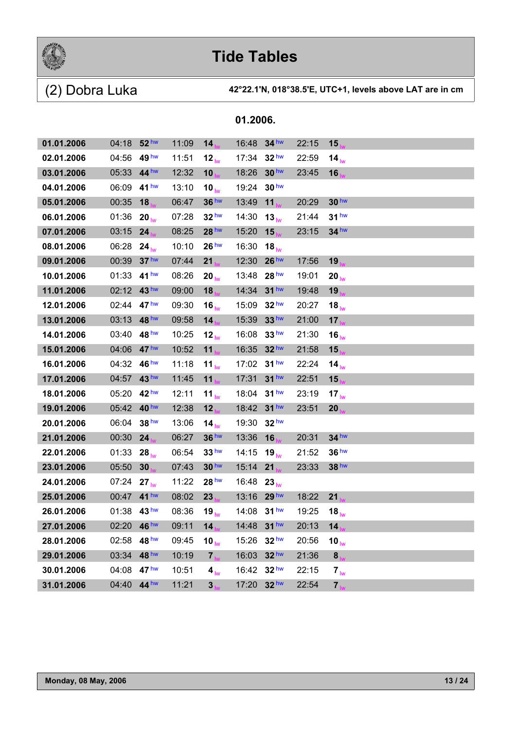

| 01.2006. |  |
|----------|--|
|----------|--|

| 01.01.2006 | 04:18       | 52 <sup>hw</sup> | 11:09 | 14                | 16:48       | $34$ hw          | 22:15 | 15                |
|------------|-------------|------------------|-------|-------------------|-------------|------------------|-------|-------------------|
| 02.01.2006 | 04:56       | 49 <sup>hw</sup> | 11:51 | 12 $_{\text{lw}}$ | 17:34       | 32 <sup>hw</sup> | 22:59 | 14 <sub>hw</sub>  |
| 03.01.2006 | 05:33       | 44 <sup>hw</sup> | 12:32 | 10                | 18:26       | 30 <sup>hw</sup> | 23:45 | 16 <sub>1</sub>   |
| 04.01.2006 | 06:09       | 41 hw            | 13:10 | 10 $_{\text{lw}}$ | 19:24       | 30 <sup>hw</sup> |       |                   |
| 05.01.2006 | 00:35       | 18               | 06:47 | 36 <sup>hw</sup>  | 13:49       | 11               | 20:29 | 30 <sup>hw</sup>  |
| 06.01.2006 | 01:36       | $20_{\text{lw}}$ | 07:28 | 32 <sup>hw</sup>  | 14:30       | $13_{h\nu}$      | 21:44 | 31 <sup>hw</sup>  |
| 07.01.2006 | 03:15       | 24               | 08:25 | 28 hw             | 15:20       | 15               | 23:15 | $34$ hw           |
| 08.01.2006 | 06:28       | $24_{\text{lw}}$ | 10:10 | 26 <sup>hw</sup>  | 16:30       | 18 <sub>hw</sub> |       |                   |
| 09.01.2006 | 00:39       | 37 <sup>hw</sup> | 07:44 | 21                | 12:30       | 26 <sup>hw</sup> | 17:56 | 19                |
| 10.01.2006 | 01:33       | 41 <sup>hw</sup> | 08:26 | $20_{\text{lw}}$  | 13:48       | 28 <sup>hw</sup> | 19:01 | 20 $_{\text{lw}}$ |
| 11.01.2006 | 02:12       | 43 <sup>hw</sup> | 09:00 | 18                | 14:34       | $31$ hw          | 19:48 | 19                |
| 12.01.2006 | 02:44       | 47 <sup>hw</sup> | 09:30 | $16_{\text{lw}}$  | 15:09       | 32 <sup>hw</sup> | 20:27 | 18 $_{\text{lw}}$ |
| 13.01.2006 | 03:13       | 48 hw            | 09:58 | 14 <sub>h</sub>   | 15:39       | 33 hw            | 21:00 | 17                |
| 14.01.2006 | 03:40       | 48 <sup>hw</sup> | 10:25 | 12 <sub>lw</sub>  | 16:08       | 33 <sup>hw</sup> | 21:30 | 16 $_{\text{lw}}$ |
| 15.01.2006 | 04:06       | 47 <sup>hw</sup> | 10:52 | 11                | 16:35       | 32 <sup>hw</sup> | 21:58 | 15                |
| 16.01.2006 | 04:32       | $46^{\text{hw}}$ | 11:18 | 11 $_{\text{lw}}$ | 17:02       | 31 <sup>hw</sup> | 22:24 | 14 $_{\text{lw}}$ |
| 17.01.2006 | 04:57       | 43 <sup>hw</sup> | 11:45 | 11                | 17:31       | $31$ hw          | 22:51 | 15                |
| 18.01.2006 | 05:20       | 42 <sup>hw</sup> | 12:11 | 11 $_{\text{lw}}$ | 18:04       | 31 <sup>hw</sup> | 23:19 | 17 <sub>lw</sub>  |
| 19.01.2006 | 05:42       | 40 <sup>hw</sup> | 12:38 | 12                | 18:42       | 31 <sup>hw</sup> | 23:51 | 20                |
| 20.01.2006 | 06:04       | 38 hw            | 13:06 | 14 $_{\text{lw}}$ | 19:30       | 32 <sup>hw</sup> |       |                   |
| 21.01.2006 | 00:30       | 24               | 06:27 | 36 <sup>hw</sup>  | 13:36       | 16               | 20:31 | $34$ hw           |
| 22.01.2006 | 01:33       | $28_{\text{lw}}$ | 06:54 | 33 <sup>hw</sup>  | 14:15       | $19_{\text{lw}}$ | 21:52 | 36 <sup>hw</sup>  |
| 23.01.2006 | 05:50       | 30               | 07:43 | 30 <sup>hw</sup>  | 15:14       | 21               | 23:33 | 38 hw             |
| 24.01.2006 | 07:24       | $27_{\text{lw}}$ | 11:22 | 28 <sup>hw</sup>  | 16:48       | $23_{\text{lw}}$ |       |                   |
| 25.01.2006 | 00:47 41 hw |                  | 08:02 | 23 <sub>1</sub>   | 13:16       | 29 <sup>hw</sup> | 18:22 | 21                |
| 26.01.2006 | 01:38 43 hw |                  | 08:36 | 19 $_{\text{lw}}$ | 14:08       | 31 <sup>hw</sup> | 19:25 | 18 $_{\text{lw}}$ |
| 27.01.2006 | 02:20 46 hw |                  | 09:11 | 14                | 14:48 31 hw |                  | 20:13 | 14                |
| 28.01.2006 | 02:58       | 48 <sup>hw</sup> | 09:45 | 10 $_{\text{lw}}$ | 15:26       | 32 <sup>hw</sup> | 20:56 | 10 $_{\text{lw}}$ |
| 29.01.2006 | 03:34       | 48 hw            | 10:19 | 7 <sub>b</sub>    | 16:03       | 32 hw            | 21:36 | 8 <sub>h</sub>    |
| 30.01.2006 | 04:08       | 47 <sup>hw</sup> | 10:51 | 4 <sub>lw</sub>   | 16:42       | 32 <sup>hw</sup> | 22:15 | $7_{\text{lw}}$   |
| 31.01.2006 | 04:40       | 44 <sup>hw</sup> | 11:21 | 3 <sub>1</sub>    | 17:20       | 32 hw            | 22:54 | $\overline{7}$    |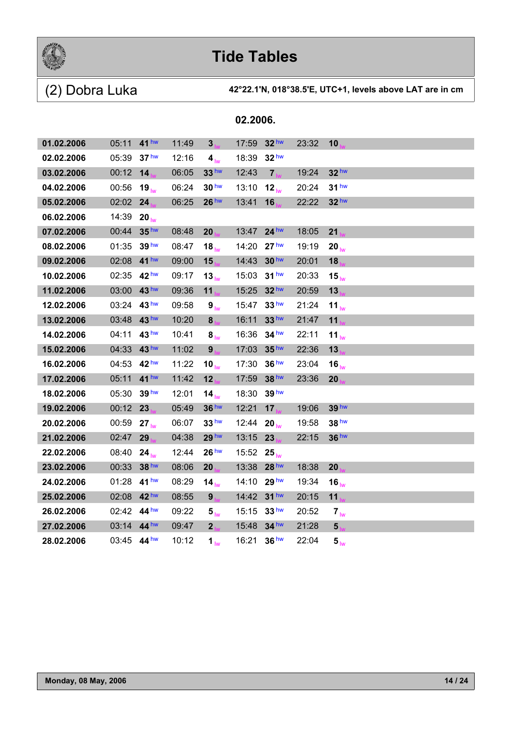

| 01.02.2006 | 05:11       | 41 <sup>hw</sup> | 11:49 | 3 <sub>h</sub>       | 17:59 | 32 <sup>hw</sup>  | 23:32 | 10                |
|------------|-------------|------------------|-------|----------------------|-------|-------------------|-------|-------------------|
| 02.02.2006 | 05:39       | 37 <sup>hw</sup> | 12:16 | 4 <sub>lw</sub>      | 18:39 | 32 <sup>hw</sup>  |       |                   |
| 03.02.2006 | 00:12       | 14               | 06:05 | 33 <sup>hw</sup>     | 12:43 | 7 <sub>hs</sub>   | 19:24 | 32 <sup>hw</sup>  |
| 04.02.2006 | 00:56       | $19_{\text{lw}}$ | 06:24 | 30 <sup>hw</sup>     | 13:10 | $12_{h}$          | 20:24 | 31 <sup>hw</sup>  |
| 05.02.2006 | 02:02       | 24               | 06:25 | 26 <sup>hw</sup>     | 13:41 | 16                | 22:22 | $32$ hw           |
| 06.02.2006 | 14:39       | 20 <sub>lw</sub> |       |                      |       |                   |       |                   |
| 07.02.2006 | 00:44       | 35 <sup>hw</sup> | 08:48 | 20                   | 13:47 | $24$ hw           | 18:05 | 21                |
| 08.02.2006 | 01:35       | 39 hw            | 08:47 | $18_{\text{lw}}$     | 14:20 | 27 <sup>hw</sup>  | 19:19 | 20 <sub>lw</sub>  |
| 09.02.2006 | 02:08       | 41 <sup>hw</sup> | 09:00 | 15 <sub>1</sub>      | 14:43 | 30 <sup>hw</sup>  | 20:01 | 18                |
| 10.02.2006 | 02:35       | 42 <sup>hw</sup> | 09:17 | $13_{\text{lw}}$     | 15:03 | 31 <sup>hw</sup>  | 20:33 | $15_{\text{lw}}$  |
| 11.02.2006 | 03:00       | 43 hw            | 09:36 | 11                   | 15:25 | 32 <sup>hw</sup>  | 20:59 | 13                |
| 12.02.2006 | 03:24       | 43 <sup>hw</sup> | 09:58 | 9 <sub>lw</sub>      | 15:47 | 33 <sup>hw</sup>  | 21:24 | $11_{\text{lw}}$  |
| 13.02.2006 | 03:48       | 43 hw            | 10:20 | 8 <sub>hs</sub>      | 16:11 | 33 <sup>hw</sup>  | 21:47 | 11                |
| 14.02.2006 | 04:11       | 43 hw            | 10:41 | $\bm{8}_{\text{lw}}$ | 16:36 | 34 <sup>hw</sup>  | 22:11 | 11 $_{\text{lw}}$ |
| 15.02.2006 | 04:33       | 43 <sup>hw</sup> | 11:02 | 9 <sub>ha</sub>      | 17:03 | 35 <sup>hw</sup>  | 22:36 | 13                |
| 16.02.2006 | 04:53       | 42 <sup>hw</sup> | 11:22 | 10 $_{\text{lw}}$    | 17:30 | 36 <sup>hw</sup>  | 23:04 | 16 $w$            |
| 17.02.2006 | 05:11       | $41$ hw          | 11:42 | 12                   | 17:59 | 38 hw             | 23:36 | 20                |
| 18.02.2006 | 05:30       | 39 <sup>hw</sup> | 12:01 | 14 $_{\text{lw}}$    | 18:30 | 39 <sup>hw</sup>  |       |                   |
| 19.02.2006 | 00:12       | 23               | 05:49 | 36 hw                | 12:21 | 17 <sub>1</sub>   | 19:06 | 39 <sup>hw</sup>  |
| 20.02.2006 | 00:59       | 27 <sub>lw</sub> | 06:07 | 33 <sup>hw</sup>     | 12:44 | 20 $_{\text{lw}}$ | 19:58 | 38 hw             |
| 21.02.2006 | 02:47       | 29               | 04:38 | 29 <sup>hw</sup>     | 13:15 | 23                | 22:15 | 36 <sup>hw</sup>  |
| 22.02.2006 | 08:40       | $24_{\text{lw}}$ | 12:44 | 26 <sup>hw</sup>     | 15:52 | $25_{\text{lw}}$  |       |                   |
| 23.02.2006 | 00:33       | 38 hw            | 08:06 | 20                   | 13:38 | 28 <sup>hw</sup>  | 18:38 | 20                |
| 24.02.2006 | 01:28       | 41 hw            | 08:29 | 14 <sub>lw</sub>     | 14:10 | 29 <sup>hw</sup>  | 19:34 | 16 <sub>lw</sub>  |
| 25.02.2006 | 02:08       | 42 <sup>hw</sup> | 08:55 | 9 <sub>h</sub>       | 14:42 | $31$ hw           | 20:15 | 11                |
| 26.02.2006 | 02:42       | 44 <sup>hw</sup> | 09:22 | $5_{\text{lw}}$      | 15:15 | 33 <sup>hw</sup>  | 20:52 | 7 <sub>lw</sub>   |
| 27.02.2006 | 03:14 44 hw |                  | 09:47 | 2 <sub>ha</sub>      | 15:48 | 34 hw             | 21:28 | 5 <sub>1</sub>    |
| 28.02.2006 | 03:45 44 hw |                  | 10:12 | 1 <sub>lw</sub>      | 16:21 | 36 <sup>hw</sup>  | 22:04 | 5 <sub>lw</sub>   |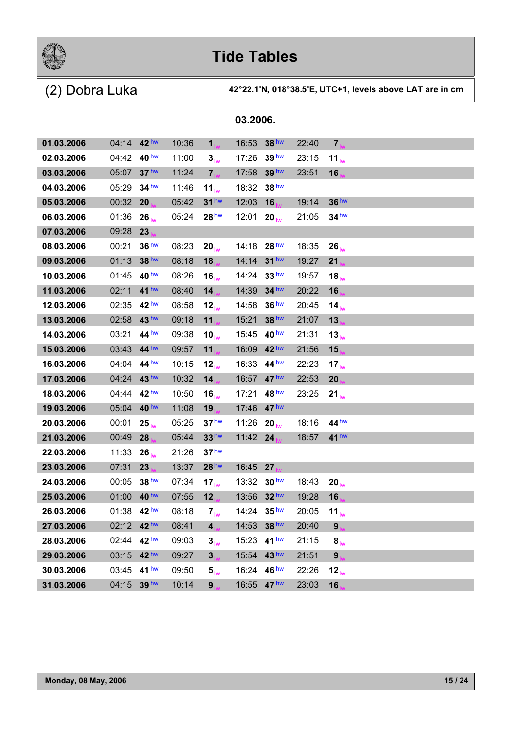

(2) Dobra Luka **42°22.1'N, 018°38.5'E, UTC+1, levels above LAT are in cm**

| 01.03.2006 | 04:14 $42^{\text{hw}}$ |                  | 10:36 | 1 <sub>hs</sub>            | 16:53       | 38 <sup>hw</sup> | 22:40 | $\overline{7}$    |  |  |
|------------|------------------------|------------------|-------|----------------------------|-------------|------------------|-------|-------------------|--|--|
| 02.03.2006 | 04:42                  | 40 <sup>hw</sup> | 11:00 | 3 <sub>lw</sub>            | 17:26       | 39 <sup>hw</sup> | 23:15 | $11_{\text{lw}}$  |  |  |
| 03.03.2006 | 05:07                  | 37 <sup>hw</sup> | 11:24 | 7 <sub>hx</sub>            | 17:58       | 39 <sup>hw</sup> | 23:51 | 16 <sub>1</sub>   |  |  |
| 04.03.2006 | 05:29                  | $34$ hw          | 11:46 | 11 $_{\text{lw}}$          | 18:32       | 38 <sup>hw</sup> |       |                   |  |  |
| 05.03.2006 | 00:32                  | 20               | 05:42 | $31$ hw                    | 12:03       | 16               | 19:14 | 36 hw             |  |  |
| 06.03.2006 | 01:36                  | $26_{\text{lw}}$ | 05:24 | 28 <sup>hw</sup>           | 12:01       | 20 <sub>lw</sub> | 21:05 | $34$ hw           |  |  |
| 07.03.2006 | 09:28                  | 23               |       |                            |             |                  |       |                   |  |  |
| 08.03.2006 | 00:21                  | 36 <sup>hw</sup> | 08:23 | $20_{\text{lw}}$           | 14:18 28 hw |                  | 18:35 | $26_{\text{lw}}$  |  |  |
| 09.03.2006 | 01:13                  | 38 hw            | 08:18 | 18 <sub>1</sub>            | 14:14       | 31 <sup>hw</sup> | 19:27 | 21                |  |  |
| 10.03.2006 | 01:45                  | 40 <sup>hw</sup> | 08:26 | 16 $_{\text{lw}}$          | 14:24       | 33 <sup>hw</sup> | 19:57 | $18_{\text{lw}}$  |  |  |
| 11.03.2006 | 02:11                  | 41 <sup>hw</sup> | 08:40 | 14 <sub>1</sub>            | 14:39       | $34$ hw          | 20:22 | 16                |  |  |
| 12.03.2006 | 02:35                  | 42 <sup>hw</sup> | 08:58 | 12 <sub>lw</sub>           | 14:58       | 36 <sup>hw</sup> | 20:45 | 14 $_{\text{lw}}$ |  |  |
| 13.03.2006 | 02:58                  | 43 hw            | 09:18 | 11 <sub>hu</sub>           | 15:21       | 38 <sup>hw</sup> | 21:07 | 13                |  |  |
| 14.03.2006 | 03:21                  | 44 <sup>hw</sup> | 09:38 | 10 $_{\text{lw}}$          | 15:45       | 40 <sup>hw</sup> | 21:31 | 13 <sub>lw</sub>  |  |  |
| 15.03.2006 | 03:43                  | 44 <sup>hw</sup> | 09:57 | $11_{hw}$                  | 16:09       | 42 <sup>hw</sup> | 21:56 | 15 <sub>1</sub>   |  |  |
| 16.03.2006 | 04:04                  | 44 <sup>hw</sup> | 10:15 | 12 <sub>lw</sub>           | 16:33       | 44 hw            | 22:23 | 17 <sub>lw</sub>  |  |  |
| 17.03.2006 | 04:24                  | 43 <sup>hw</sup> | 10:32 | 14 <sub>b</sub>            | 16:57       | 47 <sup>hw</sup> | 22:53 | 20                |  |  |
| 18.03.2006 | 04:44                  | 42 <sup>hw</sup> | 10:50 | 16 <sub>lw</sub>           | 17:21       | $48^{\text{hw}}$ | 23:25 | 21 <sub>lw</sub>  |  |  |
| 19.03.2006 | 05:04                  | 40 <sup>hw</sup> | 11:08 | 19                         | 17:46       | 47 <sup>hw</sup> |       |                   |  |  |
| 20.03.2006 | 00:01                  | $25_{h}$         | 05:25 | 37 <sup>hw</sup>           | 11:26       | $20_{h}$         | 18:16 | 44 <sup>hw</sup>  |  |  |
| 21.03.2006 | 00:49                  | 28               | 05:44 | 33 <sup>hw</sup>           | 11:42       | 24               | 18:57 | 41 <sup>hw</sup>  |  |  |
| 22.03.2006 | 11:33                  | $26_{\text{lw}}$ | 21:26 | 37 <sup>hw</sup>           |             |                  |       |                   |  |  |
| 23.03.2006 | 07:31                  | 23               | 13:37 | 28 <sup>hw</sup>           | 16:45       | 27               |       |                   |  |  |
| 24.03.2006 | 00:05                  | 38 <sup>hw</sup> | 07:34 | 17 $_{\text{lw}}$          | 13:32       | 30 <sup>hw</sup> | 18:43 | $20_{\text{lw}}$  |  |  |
| 25.03.2006 | 01:00                  | 40 <sup>hw</sup> | 07:55 | 12                         | 13:56       | 32 <sup>hw</sup> | 19:28 | 16                |  |  |
| 26.03.2006 | 01:38 42 hw            |                  | 08:18 | $7_{\text{lw}}$            | 14:24       | 35 <sup>hw</sup> | 20:05 | 11 $_{\text{lw}}$ |  |  |
| 27.03.2006 | 02:12 42 hw            |                  | 08:41 | 4 <sub>1</sub>             | 14:53 38 hw |                  | 20:40 | 9                 |  |  |
| 28.03.2006 | 02:44 42 hw            |                  | 09:03 | 3 <sub>lw</sub>            | 15:23       | 41 <sup>hw</sup> | 21:15 | $8_{\text{lw}}$   |  |  |
| 29.03.2006 | 03:15                  | 42 hw            | 09:27 | $3_{10}$                   | 15:54       | 43 hw            | 21:51 | 9                 |  |  |
| 30.03.2006 | 03:45                  | 41 <sup>hw</sup> | 09:50 | $\mathbf{5}_{\mathsf{lw}}$ | 16:24 46 hw |                  | 22:26 | 12 <sub>lw</sub>  |  |  |
| 31.03.2006 | 04:15                  | 39 hw            | 10:14 | 9 <sub>h</sub>             | 16:55 47 hw |                  | 23:03 | 16                |  |  |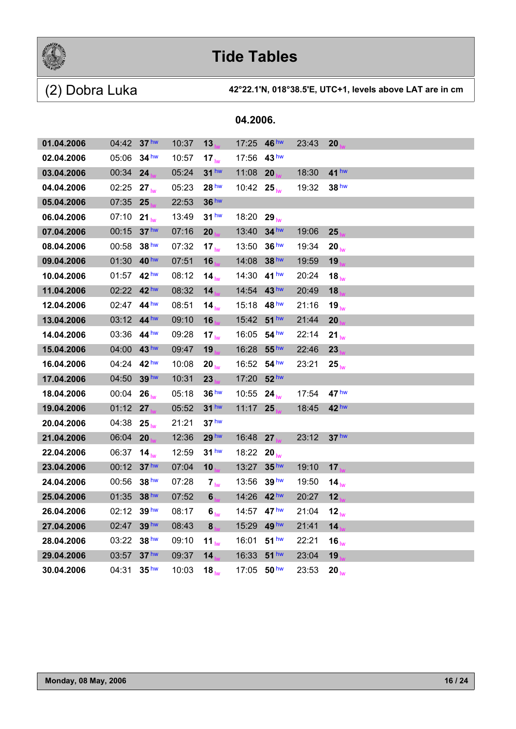

|            |             |                  |       |                   | 04.2006. |                  |       |                   |
|------------|-------------|------------------|-------|-------------------|----------|------------------|-------|-------------------|
| 01.04.2006 | 04:42       | 37 <sup>hw</sup> | 10:37 | 13                | 17:25    | 46 hw            | 23:43 | 20                |
| 02.04.2006 | 05:06       | 34 <sup>hw</sup> | 10:57 | $17_{\text{lw}}$  | 17:56    | 43 <sup>hw</sup> |       |                   |
| 03.04.2006 | 00:34       | 24               | 05:24 | 31 <sup>hw</sup>  | 11:08    | 20               | 18:30 | 41 hw             |
| 04.04.2006 | 02:25       | $27_{\text{lw}}$ | 05:23 | 28 <sup>hw</sup>  | 10:42    | $25_{h}$         | 19:32 | 38 <sup>hw</sup>  |
| 05.04.2006 | 07:35       | 25               | 22:53 | 36 hw             |          |                  |       |                   |
| 06.04.2006 | 07:10       | $21_{\text{lw}}$ | 13:49 | 31 <sup>hw</sup>  | 18:20    | $29_{\text{lw}}$ |       |                   |
| 07.04.2006 | 00:15       | 37 <sup>hw</sup> | 07:16 | 20                | 13:40    | 34 <sup>hw</sup> | 19:06 | 25                |
| 08.04.2006 | 00:58       | 38 <sup>hw</sup> | 07:32 | 17 <sub>hw</sub>  | 13:50    | 36 <sup>hw</sup> | 19:34 | $20_{\text{lw}}$  |
| 09.04.2006 | 01:30       | 40 <sup>hw</sup> | 07:51 | 16                | 14:08    | 38 hw            | 19:59 | 19                |
| 10.04.2006 | 01:57       | 42 <sup>hw</sup> | 08:12 | 14 <sub>lw</sub>  | 14:30    | 41 <sup>hw</sup> | 20:24 | $18_{\text{lw}}$  |
| 11.04.2006 | 02:22       | 42 <sup>hw</sup> | 08:32 | 14 <sub>1</sub>   | 14:54    | 43 hw            | 20:49 | 18                |
| 12.04.2006 | 02:47       | $44^{\text{hw}}$ | 08:51 | 14 <sub>lw</sub>  | 15:18    | 48 <sup>hw</sup> | 21:16 | 19 <sub>lw</sub>  |
| 13.04.2006 | 03:12       | 44 <sup>hw</sup> | 09:10 | 16                | 15:42    | 51 <sup>hw</sup> | 21:44 | 20                |
| 14.04.2006 | 03:36       | 44 <sup>hw</sup> | 09:28 | $17_{\text{lw}}$  | 16:05    | 54 <sup>hw</sup> | 22:14 | $21_{\text{lw}}$  |
| 15.04.2006 | 04:00       | 43 <sup>hw</sup> | 09:47 | 19                | 16:28    | 55 <sup>hw</sup> | 22:46 | 23                |
| 16.04.2006 | 04:24       | 42 <sup>hw</sup> | 10:08 | $20_{\text{lw}}$  | 16:52    | 54 <sup>hw</sup> | 23:21 | $25_{\text{lw}}$  |
| 17.04.2006 | 04:50       | 39 hw            | 10:31 | 23                | 17:20    | 52 <sup>hw</sup> |       |                   |
| 18.04.2006 | 00:04       | $26_{\text{lw}}$ | 05:18 | 36 <sup>hw</sup>  | 10:55    | $24_{\text{lw}}$ | 17:54 | 47 <sup>hw</sup>  |
| 19.04.2006 | 01:12       | 27 <sub>1</sub>  | 05:52 | 31 <sup>hw</sup>  | 11:17    | 25               | 18:45 | 42 <sup>hw</sup>  |
| 20.04.2006 | 04:38       | $25_{\text{lw}}$ | 21:21 | 37 <sup>hw</sup>  |          |                  |       |                   |
| 21.04.2006 | 06:04       | 20               | 12:36 | 29 <sup>hw</sup>  | 16:48    | 27               | 23:12 | 37 <sup>hw</sup>  |
| 22.04.2006 | 06:37       | 14 <sub>lw</sub> | 12:59 | 31 <sup>hw</sup>  | 18:22    | $20_{\text{lw}}$ |       |                   |
| 23.04.2006 | 00:12       | 37 <sup>hw</sup> | 07:04 | 10                | 13:27    | 35 <sup>hw</sup> | 19:10 | 17 <sub>1</sub>   |
| 24.04.2006 | 00:56       | 38 <sup>hw</sup> | 07:28 | 7 <sub>lw</sub>   | 13:56    | 39 <sup>hw</sup> | 19:50 | 14 $_{\text{lw}}$ |
| 25.04.2006 | 01:35       | 38 hw            | 07:52 | 6                 | 14:26    | 42 hw            | 20:27 | 12                |
| 26.04.2006 | 02:12 39 hw |                  | 08:17 | 6 <sub>lw</sub>   | 14:57    | 47 <sup>hw</sup> | 21:04 | $12_{hw}$         |
| 27.04.2006 | 02:47       | 39 hw            | 08:43 | 8 <sub>1</sub>    | 15:29    | 49 hw            | 21:41 | 14                |
| 28.04.2006 | 03:22       | 38 <sup>hw</sup> | 09:10 | 11 $_{\text{lw}}$ | 16:01    | 51 <sup>hw</sup> | 22:21 | $16_{\text{lw}}$  |
| 29.04.2006 | 03:57       | 37 <sup>hw</sup> | 09:37 | 14 <sub>1</sub>   | 16:33    | $51$ hw          | 23:04 | 19                |
| 30.04.2006 | 04:31       | 35 <sup>hw</sup> | 10:03 | $18_{\text{lw}}$  | 17:05    | 50 <sup>hw</sup> | 23:53 | $20_{\text{lw}}$  |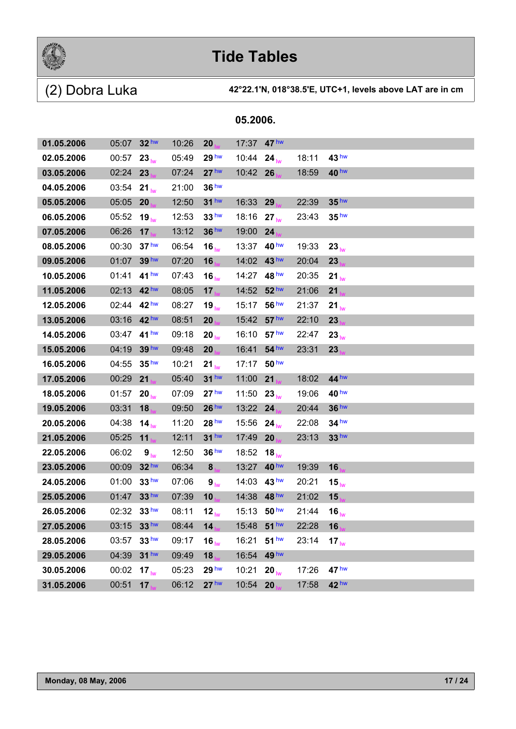

| 05.2006. |  |
|----------|--|
|          |  |

| 01.05.2006 | 05:07 | 32 <sup>hw</sup> | 10:26 | 20               | 17:37 47 hw |                   |       |                   |
|------------|-------|------------------|-------|------------------|-------------|-------------------|-------|-------------------|
| 02.05.2006 | 00:57 | $23_{\text{lw}}$ | 05:49 | 29 <sup>hw</sup> | 10:44       | $24_{h}$          | 18:11 | 43 <sup>hw</sup>  |
| 03.05.2006 | 02:24 | 23               | 07:24 | 27 <sup>hw</sup> | 10:42 26    |                   | 18:59 | 40 <sup>hw</sup>  |
| 04.05.2006 | 03:54 | $21_{hw}$        | 21:00 | 36 <sup>hw</sup> |             |                   |       |                   |
| 05.05.2006 | 05:05 | 20               | 12:50 | $31$ hw          | 16:33       | 29                | 22:39 | 35 <sup>hw</sup>  |
| 06.05.2006 | 05:52 | $19_{\text{hw}}$ | 12:53 | 33 <sup>hw</sup> | 18:16       | 27 <sub>lw</sub>  | 23:43 | 35 <sup>hw</sup>  |
| 07.05.2006 | 06:26 | 17 <sub>1</sub>  | 13:12 | 36 <sup>hw</sup> | 19:00       | 24                |       |                   |
| 08.05.2006 | 00:30 | 37 <sup>hw</sup> | 06:54 | $16_{\text{lw}}$ | 13:37 40 hw |                   | 19:33 | $23_{\text{lw}}$  |
| 09.05.2006 | 01:07 | 39 <sup>hw</sup> | 07:20 | 16               | 14:02       | 43 <sup>hw</sup>  | 20:04 | 23                |
| 10.05.2006 | 01:41 | 41 <sup>hw</sup> | 07:43 | 16 <sub>lw</sub> | 14:27       | 48 hw             | 20:35 | $21_{\text{lw}}$  |
| 11.05.2006 | 02:13 | 42 <sup>hw</sup> | 08:05 | 17 <sub>1</sub>  | 14:52       | 52 <sup>hw</sup>  | 21:06 | 21                |
| 12.05.2006 | 02:44 | 42 <sup>hw</sup> | 08:27 | $19_{\text{lw}}$ | 15:17       | 56 <sup>hw</sup>  | 21:37 | 21 <sub>lw</sub>  |
| 13.05.2006 | 03:16 | 42 hw            | 08:51 | 20               | 15:42       | 57 <sup>hw</sup>  | 22:10 | 23                |
| 14.05.2006 | 03:47 | 41 <sup>hw</sup> | 09:18 | $20_{\text{lw}}$ | 16:10       | 57 <sup>hw</sup>  | 22:47 | 23 <sub>lw</sub>  |
| 15.05.2006 | 04:19 | 39 <sup>hw</sup> | 09:48 | 20               | 16:41       | 54 <sup>hw</sup>  | 23:31 | 23                |
| 16.05.2006 | 04:55 | 35 <sup>hw</sup> | 10:21 | $21_{\text{lw}}$ | 17:17       | 50 <sup>hw</sup>  |       |                   |
| 17.05.2006 | 00:29 | 21               | 05:40 | $31$ hw          | 11:00       | 21                | 18:02 | 44 hw             |
| 18.05.2006 | 01:57 | 20 <sub>hw</sub> | 07:09 | 27 <sup>hw</sup> | 11:50       | $23_{\text{hw}}$  | 19:06 | 40 <sup>hw</sup>  |
| 19.05.2006 | 03:31 | 18               | 09:50 | 26 <sup>hw</sup> | 13:22       | 24                | 20:44 | 36 hw             |
| 20.05.2006 | 04:38 | $14_{hw}$        | 11:20 | 28 <sup>hw</sup> | 15:56       | $24_{\text{lw}}$  | 22:08 | 34 <sup>hw</sup>  |
| 21.05.2006 | 05:25 | 11               | 12:11 | 31 <sup>hw</sup> | 17:49       | 20                | 23:13 | 33 <sup>hw</sup>  |
| 22.05.2006 | 06:02 | 9 <sub>lw</sub>  | 12:50 | 36 <sup>hw</sup> | 18:52       | 18 $_{\text{lw}}$ |       |                   |
| 23.05.2006 | 00:09 | 32 hw            | 06:34 | $\bf{8}$         | 13:27       | 40 <sup>hw</sup>  | 19:39 | 16                |
| 24.05.2006 | 01:00 | 33 <sup>hw</sup> | 07:06 | $9_{\text{lw}}$  | 14:03       | 43 <sup>hw</sup>  | 20:21 | $15_{h\nu}$       |
| 25.05.2006 | 01:47 | 33 hw            | 07:39 | 10               | 14:38       | 48 hw             | 21:02 | 15                |
| 26.05.2006 | 02:32 | 33 <sup>hw</sup> | 08:11 | 12 <sub>lw</sub> | 15:13       | 50 <sup>hw</sup>  | 21:44 | 16 $_{\text{lw}}$ |
| 27.05.2006 | 03:15 | 33 hw            | 08:44 | 14 <sub>1</sub>  | 15:48       | 51 <sup>hw</sup>  | 22:28 | 16                |
| 28.05.2006 | 03:57 | 33 <sup>hw</sup> | 09:17 | 16 <sub>lw</sub> | 16:21       | 51 <sup>hw</sup>  | 23:14 | $17_{\text{lw}}$  |
| 29.05.2006 | 04:39 | 31 <sup>hw</sup> | 09:49 | 18               | 16:54       | 49 <sup>hw</sup>  |       |                   |
| 30.05.2006 | 00:02 | 17 <sub>hw</sub> | 05:23 | 29 <sup>hw</sup> | 10:21       | 20 <sub>hw</sub>  | 17:26 | 47 <sup>hw</sup>  |
| 31.05.2006 | 00:51 | 17               | 06:12 | 27 <sup>hw</sup> | 10:54       | 20                | 17:58 | 42 hw             |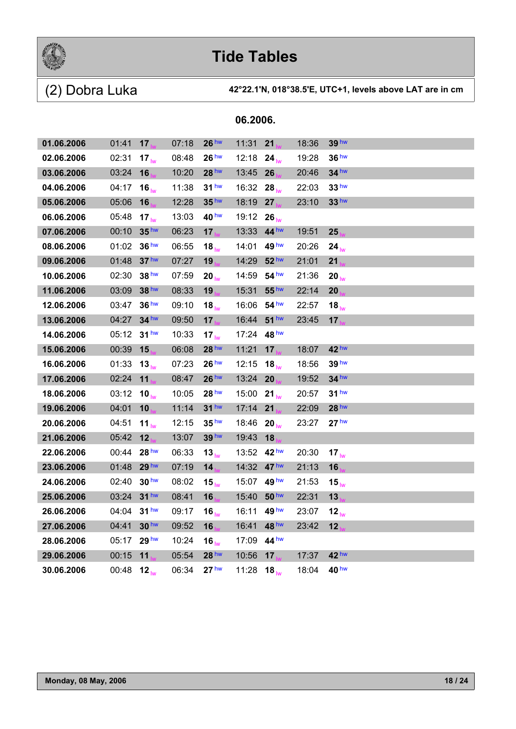

(2) Dobra Luka **42°22.1'N, 018°38.5'E, UTC+1, levels above LAT are in cm**

| 01.06.2006 | 01:41 | 17                | 07:18 | 26 <sup>hw</sup>  | 11:31 | 21                 | 18:36 | 39 <sup>hw</sup>  |
|------------|-------|-------------------|-------|-------------------|-------|--------------------|-------|-------------------|
| 02.06.2006 | 02:31 | 17 <sub>lw</sub>  | 08:48 | 26 <sup>hw</sup>  | 12:18 | $24_{h}$           | 19:28 | 36 <sup>hw</sup>  |
| 03.06.2006 | 03:24 | 16                | 10:20 | 28 hw             | 13:45 | 26                 | 20:46 | $34$ hw           |
| 04.06.2006 | 04:17 | $16_{\text{hw}}$  | 11:38 | 31 <sup>hw</sup>  | 16:32 | $28_{\text{lw}}$   | 22:03 | 33 <sup>hw</sup>  |
| 05.06.2006 | 05:06 | 16                | 12:28 | 35 <sup>hw</sup>  | 18:19 | 27                 | 23:10 | 33 <sup>hw</sup>  |
| 06.06.2006 | 05:48 | 17 <sub>lw</sub>  | 13:03 | 40 hw             | 19:12 | $26_{\text{lw}}$   |       |                   |
| 07.06.2006 | 00:10 | 35 <sup>hw</sup>  | 06:23 | 17                | 13:33 | 44 <sup>hw</sup>   | 19:51 | 25                |
| 08.06.2006 | 01:02 | 36 <sup>hw</sup>  | 06:55 | $18_{\text{lw}}$  | 14:01 | 49 <sup>hw</sup>   | 20:26 | $24_{\text{lw}}$  |
| 09.06.2006 | 01:48 | 37 <sup>hw</sup>  | 07:27 | 19                | 14:29 | 52 <sup>hw</sup>   | 21:01 | 21                |
| 10.06.2006 | 02:30 | 38 <sup>hw</sup>  | 07:59 | $20_{\text{lw}}$  | 14:59 | 54 <sup>hw</sup>   | 21:36 | $20_{\text{lw}}$  |
| 11.06.2006 | 03:09 | 38 hw             | 08:33 | 19                | 15:31 | 55 <sup>hw</sup>   | 22:14 | 20                |
| 12.06.2006 | 03:47 | 36 <sup>hw</sup>  | 09:10 | 18 <sub>lw</sub>  | 16:06 | 54 <sup>hw</sup>   | 22:57 | 18 $_{\text{lw}}$ |
| 13.06.2006 | 04:27 | 34 <sup>hw</sup>  | 09:50 | 17                | 16:44 | 51 <sup>hw</sup>   | 23:45 | 17                |
| 14.06.2006 | 05:12 | 31 <sup>hw</sup>  | 10:33 | 17 <sub>lw</sub>  | 17:24 | 48 <sup>hw</sup>   |       |                   |
| 15.06.2006 | 00:39 | 15                | 06:08 | 28 hw             | 11:21 | 17                 | 18:07 | 42 <sup>hw</sup>  |
| 16.06.2006 | 01:33 | 13 <sub>lw</sub>  | 07:23 | 26 <sup>hw</sup>  | 12:15 | 18 <sub>lw</sub>   | 18:56 | 39 hw             |
| 17.06.2006 | 02:24 | 11                | 08:47 | 26 <sup>hw</sup>  | 13:24 | 20                 | 19:52 | 34 hw             |
| 18.06.2006 | 03:12 | 10 $_{\text{lw}}$ | 10:05 | 28 <sup>hw</sup>  | 15:00 | $21_{\text{lw}}$   | 20:57 | 31 <sup>hw</sup>  |
| 19.06.2006 | 04:01 | 10                | 11:14 | $31$ hw           | 17:14 | 21                 | 22:09 | 28 hw             |
| 20.06.2006 | 04:51 | 11 <sub>lw</sub>  | 12:15 | 35 <sup>hw</sup>  | 18:46 | 20 <sub>lw</sub>   | 23:27 | 27 <sup>hw</sup>  |
| 21.06.2006 | 05:42 | 12                | 13:07 | 39 hw             | 19:43 | 18                 |       |                   |
| 22.06.2006 | 00:44 | 28 <sup>hw</sup>  | 06:33 | 13 <sub>lw</sub>  | 13:52 | 42 <sup>hw</sup>   | 20:30 | 17 <sub>lw</sub>  |
| 23.06.2006 | 01:48 | 29 hw             | 07:19 | 14                | 14:32 | 47 <sup>hw</sup>   | 21:13 | 16                |
| 24.06.2006 | 02:40 | 30 <sup>hw</sup>  | 08:02 | $15_{\text{lw}}$  | 15:07 | 49 <sup>hw</sup>   | 21:53 | $15_{\text{lw}}$  |
| 25.06.2006 | 03:24 | $31$ hw           | 08:41 | 16                | 15:40 | 50 <sup>hw</sup>   | 22:31 | 13                |
| 26.06.2006 | 04:04 | 31 <sup>hw</sup>  | 09:17 | $16_{\text{lw}}$  | 16:11 | 49 <sup>hw</sup>   | 23:07 | 12 <sub>lw</sub>  |
| 27.06.2006 | 04:41 | 30 hw             | 09:52 | 16                | 16:41 | 48 <sup>hw</sup>   | 23:42 | 12                |
| 28.06.2006 | 05:17 | 29 <sup>hw</sup>  | 10:24 | 16 $_{\text{lw}}$ | 17:09 | $44^{\mathrm{hw}}$ |       |                   |
| 29.06.2006 | 00:15 | 11                | 05:54 | 28 <sup>hw</sup>  | 10:56 | 17 <sub>1</sub>    | 17:37 | 42 <sup>hw</sup>  |
| 30.06.2006 | 00:48 | $12_{h}$          | 06:34 | 27 <sup>hw</sup>  | 11:28 | $18_{h}$           | 18:04 | 40 hw             |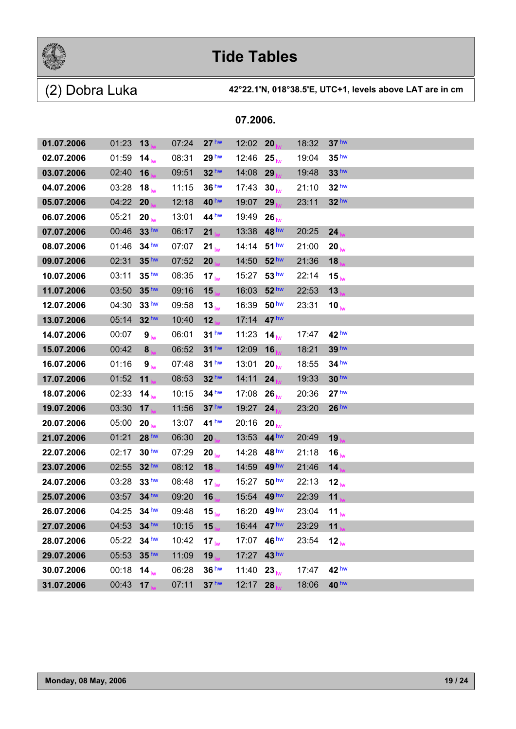

(2) Dobra Luka **42°22.1'N, 018°38.5'E, UTC+1, levels above LAT are in cm**

| 01.07.2006 | 01:23                   | 13               | 07:24 | 27 <sup>hw</sup>  | 12:02       | 20               | 18:32 | 37 <sup>hw</sup>  |
|------------|-------------------------|------------------|-------|-------------------|-------------|------------------|-------|-------------------|
| 02.07.2006 | 01:59                   | 14 <sub>lw</sub> | 08:31 | 29 <sup>hw</sup>  | 12:46       | $25_{\text{lw}}$ | 19:04 | 35 <sup>hw</sup>  |
| 03.07.2006 | 02:40                   | 16               | 09:51 | 32 <sup>hw</sup>  | 14:08       | 29               | 19:48 | 33 <sup>hw</sup>  |
| 04.07.2006 | 03:28                   | 18 <sub>lw</sub> | 11:15 | 36 <sup>hw</sup>  | 17:43       | 30 <sub>hw</sub> | 21:10 | 32 <sup>hw</sup>  |
| 05.07.2006 | 04:22                   | 20               | 12:18 | 40 hw             | 19:07       | 29               | 23:11 | $32$ hw           |
| 06.07.2006 | 05:21                   | $20_{h}$         | 13:01 | 44 hw             | 19:49       | $26_{\text{hw}}$ |       |                   |
| 07.07.2006 | 00:46                   | 33 <sup>hw</sup> | 06:17 | 21                | 13:38       | 48 <sup>hw</sup> | 20:25 | 24                |
| 08.07.2006 | 01:46                   | 34 <sup>hw</sup> | 07:07 | $21_{\text{lw}}$  | 14:14       | 51 <sup>hw</sup> | 21:00 | $20_{\text{lw}}$  |
| 09.07.2006 | 02:31                   | 35 <sup>hw</sup> | 07:52 | 20                | 14:50       | 52 <sup>hw</sup> | 21:36 | 18                |
| 10.07.2006 | 03:11                   | 35 <sup>hw</sup> | 08:35 | 17 <sub>lw</sub>  | 15:27       | 53 <sup>hw</sup> | 22:14 | $15_{\text{lw}}$  |
| 11.07.2006 | 03:50                   | 35 <sup>hw</sup> | 09:16 | 15                | 16:03       | 52 <sup>hw</sup> | 22:53 | 13                |
| 12.07.2006 | 04:30                   | 33 <sup>hw</sup> | 09:58 | 13 <sub>lw</sub>  | 16:39       | 50 <sup>hw</sup> | 23:31 | 10 $_{\text{lw}}$ |
| 13.07.2006 | 05:14                   | 32 <sup>hw</sup> | 10:40 | 12                | 17:14       | 47 <sup>hw</sup> |       |                   |
| 14.07.2006 | 00:07                   | 9 <sub>lw</sub>  | 06:01 | 31 <sup>hw</sup>  | 11:23       | 14 <sub>lw</sub> | 17:47 | 42 <sup>hw</sup>  |
| 15.07.2006 | 00:42                   | 8 <sub>1</sub>   | 06:52 | $31$ hw           | 12:09       | 16               | 18:21 | 39 <sup>hw</sup>  |
| 16.07.2006 | 01:16                   | 9 <sub>lw</sub>  | 07:48 | 31 <sup>hw</sup>  | 13:01       | $20_{\text{lw}}$ | 18:55 | $34$ hw           |
| 17.07.2006 | 01:52                   | 11               | 08:53 | 32 hw             | 14:11       | 24               | 19:33 | 30 <sup>hw</sup>  |
| 18.07.2006 | 02:33                   | 14 <sub>hw</sub> | 10:15 | $34$ hw           | 17:08       | $26_{\text{lw}}$ | 20:36 | 27 <sup>hw</sup>  |
| 19.07.2006 | 03:30                   | 17               | 11:56 | 37 <sup>hw</sup>  | 19:27       | 24               | 23:20 | 26 <sup>hw</sup>  |
| 20.07.2006 | 05:00                   | $20_{\text{lw}}$ | 13:07 | 41 <sup>hw</sup>  | 20:16       | $20_{\text{lw}}$ |       |                   |
| 21.07.2006 | 01:21                   | 28 <sup>hw</sup> | 06:30 | 20                | 13:53       | 44 <sup>hw</sup> | 20:49 | 19                |
| 22.07.2006 | 02:17                   | 30 <sup>hw</sup> | 07:29 | $20_{\text{lw}}$  | 14:28       | 48 <sup>hw</sup> | 21:18 | $16_{\text{lw}}$  |
| 23.07.2006 | 02:55                   | 32 <sup>hw</sup> | 08:12 | 18                | 14:59       | 49 <sup>hw</sup> | 21:46 | 14                |
| 24.07.2006 | 03:28                   | 33 <sup>hw</sup> | 08:48 | 17 <sub>lw</sub>  | 15:27       | 50 <sup>hw</sup> | 22:13 | 12 <sub>lw</sub>  |
| 25.07.2006 | 03:57                   | 34 hw            | 09:20 | 16                | 15:54       | 49 <sup>hw</sup> | 22:39 | 11                |
| 26.07.2006 | 04:25                   | 34 <sup>hw</sup> | 09:48 | 15 $_{\text{lw}}$ | 16:20       | 49 <sup>hw</sup> | 23:04 | 11 <sub>lw</sub>  |
| 27.07.2006 | 04:53 34 hw             |                  | 10:15 | 15 <sub>1</sub>   | 16:44 47 hw |                  | 23:29 | 11                |
| 28.07.2006 | 05:22                   | $34$ hw          | 10:42 | 17 $_{\text{lw}}$ | 17:07 46 hw |                  | 23:54 | 12 <sub>lw</sub>  |
| 29.07.2006 | 05:53                   | 35 <sup>hw</sup> | 11:09 | 19                | 17:27       | 43 hw            |       |                   |
| 30.07.2006 | 00:18 14 $_{\text{lw}}$ |                  | 06:28 | 36 hw             | 11:40       | $23_{\text{hw}}$ | 17:47 | 42 <sup>hw</sup>  |
| 31.07.2006 | $00:43$ 17              |                  | 07:11 | 37 <sup>hw</sup>  | 12:17       | 28               | 18:06 | 40 hw             |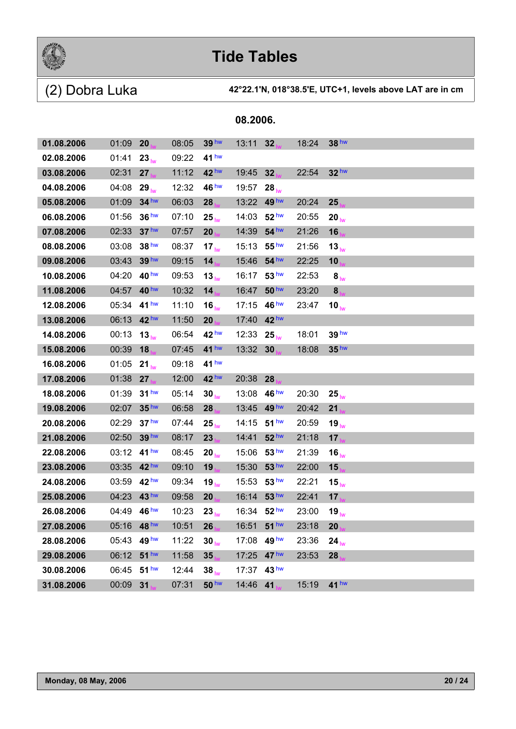

| 01.08.2006 | 01:09       | 20               | 08:05 | 39 <sup>hw</sup> | 13:11       | 32                     | 18:24 | 38 hw             |
|------------|-------------|------------------|-------|------------------|-------------|------------------------|-------|-------------------|
| 02.08.2006 | 01:41       | $23_{\text{hw}}$ | 09:22 | 41 <sup>hw</sup> |             |                        |       |                   |
| 03.08.2006 | 02:31       | 27               | 11:12 | 42 hw            | 19:45       | 32                     | 22:54 | 32 <sup>hw</sup>  |
| 04.08.2006 | 04:08       | $29_{\text{lw}}$ | 12:32 | 46 hw            | 19:57       | $28_{\text{lw}}$       |       |                   |
| 05.08.2006 | 01:09       | 34 <sup>hw</sup> | 06:03 | 28               | 13:22       | 49 <sup>hw</sup>       | 20:24 | 25                |
| 06.08.2006 | 01:56       | 36 <sup>hw</sup> | 07:10 | $25_{\text{lw}}$ | 14:03       | 52 <sup>hw</sup>       | 20:55 | $20_{\text{lw}}$  |
| 07.08.2006 | 02:33       | 37 <sup>hw</sup> | 07:57 | 20               | 14:39       | $54$ hw                | 21:26 | 16                |
| 08.08.2006 | 03:08       | 38 hw            | 08:37 | 17 <sub>lw</sub> | 15:13       | 55 <sup>hw</sup>       | 21:56 | 13 <sub>lw</sub>  |
| 09.08.2006 | 03:43       | 39 hw            | 09:15 | 14               | 15:46       | 54 hw                  | 22:25 | 10                |
| 10.08.2006 | 04:20       | 40 <sup>hw</sup> | 09:53 | 13 <sub>lw</sub> | 16:17       | 53 <sup>hw</sup>       | 22:53 | 8 <sub>lw</sub>   |
| 11.08.2006 | 04:57       | 40 hw            | 10:32 | 14               | 16:47       | 50 <sup>hw</sup>       | 23:20 | 8                 |
| 12.08.2006 | 05:34       | 41 <sup>hw</sup> | 11:10 | 16 <sub>lw</sub> | 17:15       | 46 $^{\text{hw}}$      | 23:47 | 10 $_{\text{lw}}$ |
| 13.08.2006 | 06:13       | 42 hw            | 11:50 | 20               | 17:40       | 42 <sup>hw</sup>       |       |                   |
| 14.08.2006 | 00:13       | $13_{\text{lw}}$ | 06:54 | 42 <sup>hw</sup> | 12:33       | $25_{h}$               | 18:01 | 39 hw             |
| 15.08.2006 | 00:39       | 18               | 07:45 | 41 <sup>hw</sup> | 13:32       | 30                     | 18:08 | 35 <sup>hw</sup>  |
| 16.08.2006 | 01:05       | $21_{\text{lw}}$ | 09:18 | 41 <sup>hw</sup> |             |                        |       |                   |
| 17.08.2006 | 01:38       | 27               | 12:00 | 42 <sup>hw</sup> | 20:38       | 28                     |       |                   |
| 18.08.2006 | 01:39       | 31 <sup>hw</sup> | 05:14 | 30 <sub>hw</sub> | 13:08       | 46 $h$ <sup>M</sup>    | 20:30 | $25_{\text{lw}}$  |
| 19.08.2006 | 02:07       | 35 <sup>hw</sup> | 06:58 | 28               | 13:45       | 49 hw                  | 20:42 | 21                |
| 20.08.2006 | 02:29       | 37 <sup>hw</sup> | 07:44 | $25_{\text{lw}}$ | 14:15       | 51 <sup>hw</sup>       | 20:59 | 19 <sub>lw</sub>  |
| 21.08.2006 | 02:50       | 39 hw            | 08:17 | 23               | 14:41       | 52 <sup>hw</sup>       | 21:18 | 17                |
| 22.08.2006 | 03:12       | 41 <sup>hw</sup> | 08:45 | $20_{\text{lw}}$ | 15:06       | 53 <sup>hw</sup>       | 21:39 | $16_{\text{lw}}$  |
| 23.08.2006 | 03:35       | 42 hw            | 09:10 | 19               | 15:30       | 53 <sup>hw</sup>       | 22:00 | 15                |
| 24.08.2006 | 03:59       | 42 <sup>hw</sup> | 09:34 | $19_{\text{lw}}$ | 15:53       | 53 <sup>hw</sup>       | 22:21 | $15_{\text{lw}}$  |
| 25.08.2006 | 04:23       | 43 hw            | 09:58 | 20               | 16:14       | 53 <sup>hw</sup>       | 22:41 | 17                |
| 26.08.2006 | 04:49       | 46 <sup>hw</sup> | 10:23 | $23_{\text{lw}}$ |             | 16:34 $52^{\text{hw}}$ | 23:00 | $19_{\text{lw}}$  |
| 27.08.2006 | 05:16 48 hw |                  | 10:51 | 26               | 16:51 51 hw |                        | 23:18 | 20                |
| 28.08.2006 | 05:43 49 hw |                  | 11:22 | $30_{\text{lw}}$ | 17:08       | 49 hw                  | 23:36 | $24_{\text{lw}}$  |
| 29.08.2006 | 06:12       | 51 <sup>hw</sup> | 11:58 | 35               | 17:25       | 47 <sup>hw</sup>       | 23:53 | 28                |
| 30.08.2006 | 06:45 51 hw |                  | 12:44 | $38_{\text{lw}}$ | 17:37       | 43 <sup>hw</sup>       |       |                   |
| 31.08.2006 | 00:09 31    |                  | 07:31 | 50 hw            | 14:46       | 41                     | 15:19 | $41$ hw           |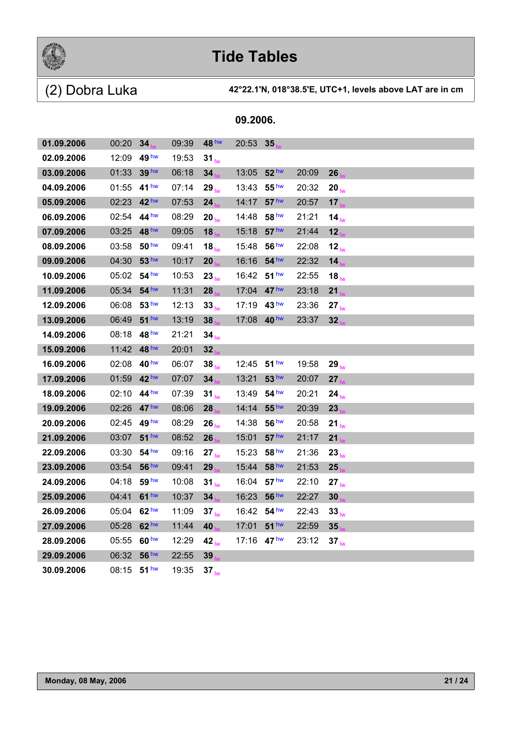

(2) Dobra Luka **42°22.1'N, 018°38.5'E, UTC+1, levels above LAT are in cm**

| 01.09.2006 | 00:20         | 34               | 09:39 | 48 hw             | 20:53 35              |                     |       |                   |
|------------|---------------|------------------|-------|-------------------|-----------------------|---------------------|-------|-------------------|
| 02.09.2006 | 12:09         | 49 hw            | 19:53 | $31_{\text{hw}}$  |                       |                     |       |                   |
| 03.09.2006 | 01:33         | 39 hw            | 06:18 | 34                | 13:05                 | 52 hw               | 20:09 | 26                |
| 04.09.2006 | 01:55         | 41 <sup>hw</sup> | 07:14 | $29_{\text{lw}}$  | 13:43                 | 55 <sup>hw</sup>    | 20:32 | $20_{\text{lw}}$  |
| 05.09.2006 | 02:23 42 hw   |                  | 07:53 | 24                | 14:17                 | 57 <sup>hw</sup>    | 20:57 | 17                |
| 06.09.2006 | 02:54         | 44 <sup>hw</sup> | 08:29 | 20 <sub>lw</sub>  | 14:48                 | 58 <sup>hw</sup>    | 21:21 | 14 $_{\text{lw}}$ |
| 07.09.2006 | 03:25         | 48 <sup>hw</sup> | 09:05 | 18                | 15:18                 | 57 <sup>hw</sup>    | 21:44 | 12                |
| 08.09.2006 | 03:58         | 50 hw            | 09:41 | 18 $_{\text{lw}}$ | 15:48                 | 56 hw               | 22:08 | 12 <sub>lw</sub>  |
| 09.09.2006 | 04:30         | 53 hw            | 10:17 | 20                | 16:16                 | 54 <sup>hw</sup>    | 22:32 | 14                |
| 10.09.2006 | 05:02         | 54 <sup>hw</sup> | 10:53 | 23 <sub>lw</sub>  | 16:42                 | 51 <sup>hw</sup>    | 22:55 | 18 $_{\text{lw}}$ |
| 11.09.2006 | 05:34         | 54 hw            | 11:31 | 28                | 17:04                 | 47 <sup>hw</sup>    | 23:18 | 21                |
| 12.09.2006 | 06:08         | 53 <sup>hw</sup> | 12:13 | 33 <sub>lw</sub>  | 17:19                 | 43 <sup>hw</sup>    | 23:36 | $27_{\text{lw}}$  |
| 13.09.2006 | 06:49         | $51$ hw          | 13:19 | 38                | 17:08                 | 40 <sup>hw</sup>    | 23:37 | 32 <sub>2</sub>   |
| 14.09.2006 | 08:18         | 48 <sup>hw</sup> | 21:21 | 34 <sub>hw</sub>  |                       |                     |       |                   |
| 15.09.2006 | 11:42         | 48 <sup>hw</sup> | 20:01 | 32                |                       |                     |       |                   |
| 16.09.2006 | 02:08         | 40 hw            | 06:07 | $38_{\text{lw}}$  | 12:45                 | 51 <sup>hw</sup>    | 19:58 | $29_{\text{lw}}$  |
| 17.09.2006 | 01:59         | 42 hw            | 07:07 | 34                | 13:21                 | 53 <sup>hw</sup>    | 20:07 | 27                |
| 18.09.2006 | 02:10         | 44 hw            | 07:39 | 31 <sub>lw</sub>  | 13:49                 | 54 <sup>hw</sup>    | 20:21 | $24_{\text{lw}}$  |
| 19.09.2006 | 02:26         | 47 <sup>hw</sup> | 08:06 | 28                | 14:14                 | 55 <sup>hw</sup>    | 20:39 | 23                |
| 20.09.2006 | 02:45         | 49 hw            | 08:29 | $26_{\text{lw}}$  | 14:38                 | 56 $h$ <sup>w</sup> | 20:58 | 21 $_{\text{lw}}$ |
| 21.09.2006 | 03:07         | 51 <sup>hw</sup> | 08:52 | 26                | 15:01                 | 57 <sup>hw</sup>    | 21:17 | 21                |
| 22.09.2006 | 03:30         | 54 hw            | 09:16 | $27_{\text{lw}}$  | 15:23                 | 58 <sup>hw</sup>    | 21:36 | 23 <sub>lw</sub>  |
| 23.09.2006 | 03:54         | 56 hw            | 09:41 | 29                | 15:44                 | 58 hw               | 21:53 | 25                |
| 24.09.2006 | 04:18         | 59 <sup>hw</sup> | 10:08 | 31 <sub>lw</sub>  | 16:04                 | 57 <sup>hw</sup>    | 22:10 | $27_{\text{lw}}$  |
| 25.09.2006 | 04:41         | $61$ hw          | 10:37 | 34                | 16:23                 | 56 <sup>hw</sup>    | 22:27 | 30                |
| 26.09.2006 | 05:04         | 62 <sup>hw</sup> | 11:09 | $37_{\text{lw}}$  | 16:42 54 hw           |                     | 22:43 | 33 <sub>lw</sub>  |
| 27.09.2006 | 05:28         | 62 <sup>hw</sup> | 11:44 | 40                | 17:01                 | 51 <sup>hw</sup>    | 22:59 | 35                |
| 28.09.2006 | 05:55         | 60 <sup>hw</sup> | 12:29 | 42 <sub>lw</sub>  | 17:16 $47 \text{ hw}$ |                     | 23:12 | $37_{\text{lw}}$  |
| 29.09.2006 | 06:32         | 56 <sup>hw</sup> | 22:55 | 39                |                       |                     |       |                   |
| 30.09.2006 | $08:15$ 51 hw |                  | 19:35 | $37_{\text{lw}}$  |                       |                     |       |                   |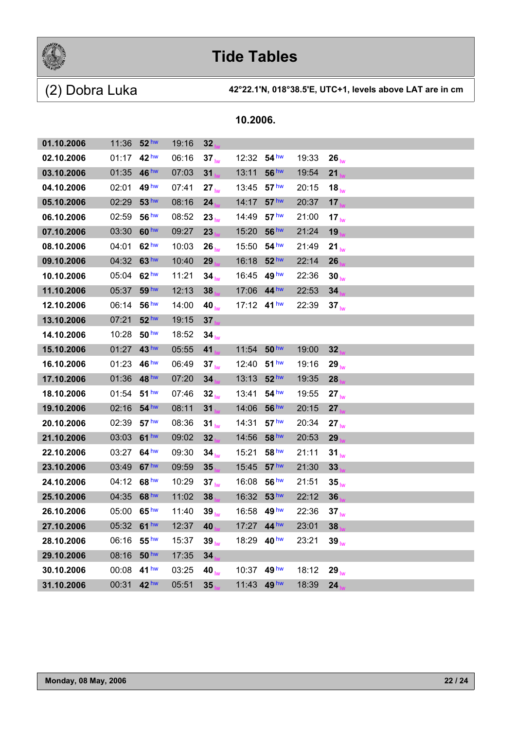

(2) Dobra Luka **42°22.1'N, 018°38.5'E, UTC+1, levels above LAT are in cm**

| 01.10.2006 | 11:36 52 hw |                  | 19:16 | 32                |                 |                  |       |                  |  |
|------------|-------------|------------------|-------|-------------------|-----------------|------------------|-------|------------------|--|
| 02.10.2006 | 01:17       | 42 <sup>hw</sup> | 06:16 | 37 <sub>lw</sub>  | 12:32           | 54 hw            | 19:33 | $26_{\text{lw}}$ |  |
| 03.10.2006 | 01:35       | 46 hw            | 07:03 | 31                | 13:11           | 56 hw            | 19:54 | 21 <sub>1</sub>  |  |
| 04.10.2006 | 02:01       | 49 <sup>hw</sup> | 07:41 | $27_{\text{lw}}$  | 13:45           | 57 <sup>hw</sup> | 20:15 | $18_{\text{lw}}$ |  |
| 05.10.2006 | 02:29       | 53 <sup>hw</sup> | 08:16 | 24                | 14:17           | 57 <sup>hw</sup> | 20:37 | 17 <sub>1</sub>  |  |
| 06.10.2006 | 02:59       | 56 hw            | 08:52 | 23 <sub>lw</sub>  | 14:49           | 57 <sup>hw</sup> | 21:00 | 17 <sub>lw</sub> |  |
| 07.10.2006 | 03:30       | 60 hw            | 09:27 | 23                | 15:20           | 56 hw            | 21:24 | 19               |  |
| 08.10.2006 | 04:01       | 62 <sup>hw</sup> | 10:03 | $26_{\text{lw}}$  | 15:50           | 54 <sup>hw</sup> | 21:49 | $21_{\text{lw}}$ |  |
| 09.10.2006 | 04:32       | 63 hw            | 10:40 | 29                | 16:18           | 52 <sup>hw</sup> | 22:14 | 26               |  |
| 10.10.2006 | 05:04       | 62 <sup>hw</sup> | 11:21 | 34 <sub>lw</sub>  | 16:45           | 49 <sup>hw</sup> | 22:36 | $30_{\text{lw}}$ |  |
| 11.10.2006 | 05:37       | 59 hw            | 12:13 | 38                | 17:06           | $44^{\text{hw}}$ | 22:53 | 34               |  |
| 12.10.2006 | 06:14       | 56 <sup>hw</sup> | 14:00 | 40 $tw$           | 17:12 $41^{hw}$ |                  | 22:39 | $37_{\text{lw}}$ |  |
| 13.10.2006 | 07:21       | 52 <sup>hw</sup> | 19:15 | 37                |                 |                  |       |                  |  |
| 14.10.2006 | 10:28       | 50 <sup>hw</sup> | 18:52 | $34_{\text{lw}}$  |                 |                  |       |                  |  |
| 15.10.2006 | 01:27       | 43 <sup>hw</sup> | 05:55 | 41                | 11:54           | 50 <sup>hw</sup> | 19:00 | 32               |  |
| 16.10.2006 | 01:23       | 46 hw            | 06:49 | 37 <sub>lw</sub>  | 12:40           | 51 <sup>hw</sup> | 19:16 | $29_{\text{lw}}$ |  |
| 17.10.2006 | 01:36       | 48 hw            | 07:20 | 34                | 13:13           | 52 <sup>hw</sup> | 19:35 | 28               |  |
| 18.10.2006 | 01:54       | 51 <sup>hw</sup> | 07:46 | 32 <sub>lw</sub>  | 13:41           | 54 <sup>hw</sup> | 19:55 | $27_{\text{lw}}$ |  |
| 19.10.2006 | 02:16       | 54 <sup>hw</sup> | 08:11 | 31                | 14:06           | 56 hw            | 20:15 | 27               |  |
| 20.10.2006 | 02:39       | 57 <sup>hw</sup> | 08:36 | 31 <sub>lw</sub>  | 14:31           | 57 <sup>hw</sup> | 20:34 | $27_{\text{lw}}$ |  |
| 21.10.2006 | 03:03       | 61 <sup>hw</sup> | 09:02 | 32                | 14:56           | 58 hw            | 20:53 | 29               |  |
| 22.10.2006 | 03:27       | 64 <sup>hw</sup> | 09:30 | $34_{\text{lw}}$  | 15:21           | 58 <sup>hw</sup> | 21:11 | $31_{\text{lw}}$ |  |
| 23.10.2006 | 03:49       | 67 <sup>hw</sup> | 09:59 | 35                | 15:45           | 57 <sup>hw</sup> | 21:30 | 33               |  |
| 24.10.2006 | 04:12       | 68 hw            | 10:29 | 37 <sub>lw</sub>  | 16:08           | 56 <sup>hw</sup> | 21:51 | $35_{\text{lw}}$ |  |
| 25.10.2006 | 04:35       | 68 hw            | 11:02 | 38                | 16:32           | 53 <sup>hw</sup> | 22:12 | 36               |  |
| 26.10.2006 | 05:00       | 65 <sup>hw</sup> | 11:40 | $39_{\text{lw}}$  | 16:58           | 49 hw            | 22:36 | 37 <sub>lw</sub> |  |
| 27.10.2006 | 05:32 61 hw |                  | 12:37 | 40 <sub>k</sub>   |                 | 17:27 44 hw      | 23:01 | 38               |  |
| 28.10.2006 | 06:16       | 55 <sup>hw</sup> | 15:37 | $39_{\text{lw}}$  | 18:29           | 40 <sup>hw</sup> | 23:21 | $39_{\text{lw}}$ |  |
| 29.10.2006 | 08:16       | 50 <sup>hw</sup> | 17:35 | 34                |                 |                  |       |                  |  |
| 30.10.2006 | 00:08       | 41 <sup>hw</sup> | 03:25 | 40 $_{\text{lw}}$ | 10:37 49 hw     |                  | 18:12 | $29_{\text{lw}}$ |  |
| 31.10.2006 | 00:31       | 42 hw            | 05:51 | 35                | 11:43           | 49 <sup>hw</sup> | 18:39 | 24               |  |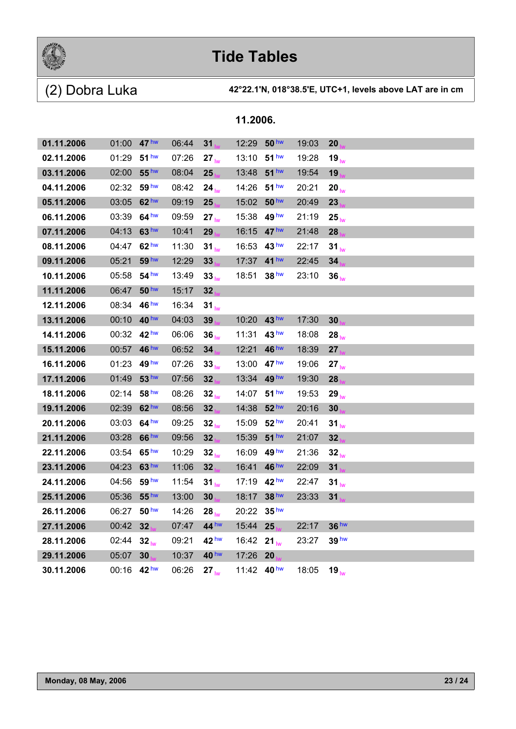

| 01.11.2006 | 01:00 47 hw |                  | 06:44 | 31               | 12:29 | 50 <sup>hw</sup> | 19:03 | 20               |
|------------|-------------|------------------|-------|------------------|-------|------------------|-------|------------------|
| 02.11.2006 | 01:29       | 51 <sup>hw</sup> | 07:26 | $27_{\text{lw}}$ | 13:10 | 51 <sup>hw</sup> | 19:28 | $19_{\text{lw}}$ |
| 03.11.2006 | 02:00       | 55 <sup>hw</sup> | 08:04 | 25               | 13:48 | 51 <sup>hw</sup> | 19:54 | 19               |
| 04.11.2006 | 02:32       | 59 hw            | 08:42 | $24_{\text{lw}}$ | 14:26 | 51 <sup>hw</sup> | 20:21 | $20_{\text{hw}}$ |
| 05.11.2006 | 03:05       | $62$ hw          | 09:19 | 25               | 15:02 | 50 <sup>hw</sup> | 20:49 | 23               |
| 06.11.2006 | 03:39       | 64 <sup>hw</sup> | 09:59 | $27_{\text{lw}}$ | 15:38 | 49 <sup>hw</sup> | 21:19 | $25_{\text{lw}}$ |
| 07.11.2006 | 04:13       | 63 hw            | 10:41 | 29               | 16:15 | 47 <sup>hw</sup> | 21:48 | 28               |
| 08.11.2006 | 04:47       | 62 <sup>hw</sup> | 11:30 | $31_{\text{lw}}$ | 16:53 | 43 <sup>hw</sup> | 22:17 | $31_{\text{lw}}$ |
| 09.11.2006 | 05:21       | 59 hw            | 12:29 | 33               | 17:37 | 41 <sup>hw</sup> | 22:45 | 34               |
| 10.11.2006 | 05:58       | 54 <sup>hw</sup> | 13:49 | $33_{\text{hw}}$ | 18:51 | 38 <sup>hw</sup> | 23:10 | 36 <sub>lw</sub> |
| 11.11.2006 | 06:47       | 50 <sup>hw</sup> | 15:17 | 32               |       |                  |       |                  |
| 12.11.2006 | 08:34 46 hw |                  | 16:34 | 31 <sub>lw</sub> |       |                  |       |                  |
| 13.11.2006 | 00:10 40 hw |                  | 04:03 | 39               | 10:20 | 43 <sup>hw</sup> | 17:30 | 30               |
| 14.11.2006 | 00:32 42 hw |                  | 06:06 | 36 <sub>hw</sub> | 11:31 | 43 <sup>hw</sup> | 18:08 | $28_{\text{lw}}$ |
| 15.11.2006 | 00:57       | 46 <sup>hw</sup> | 06:52 | 34               | 12:21 | 46 <sup>hw</sup> | 18:39 | 27               |
| 16.11.2006 | 01:23       | 49 <sup>hw</sup> | 07:26 | $33_{\text{lw}}$ | 13:00 | 47 <sup>hw</sup> | 19:06 | $27_{\text{lw}}$ |
| 17.11.2006 | 01:49       | 53 <sup>hw</sup> | 07:56 | 32               | 13:34 | 49 <sup>hw</sup> | 19:30 | 28               |
| 18.11.2006 | 02:14       | 58 <sup>hw</sup> | 08:26 | 32 <sub>lw</sub> | 14:07 | 51 <sup>hw</sup> | 19:53 | 29 <sub>lw</sub> |
| 19.11.2006 | 02:39       | 62 <sup>hw</sup> | 08:56 | 32               | 14:38 | 52 <sup>hw</sup> | 20:16 | 30               |
| 20.11.2006 | 03:03       | 64 <sup>hw</sup> | 09:25 | 32 <sub>lw</sub> | 15:09 | 52 <sup>hw</sup> | 20:41 | $31_{\text{lw}}$ |
| 21.11.2006 | 03:28       | 66 <sup>hw</sup> | 09:56 | 32               | 15:39 | 51 <sup>hw</sup> | 21:07 | 32               |
| 22.11.2006 | 03:54       | 65 <sup>hw</sup> | 10:29 | 32 <sub>lw</sub> | 16:09 | 49 hw            | 21:36 | 32 <sub>lw</sub> |
| 23.11.2006 | 04:23       | 63 hw            | 11:06 | 32               | 16:41 | 46 <sup>hw</sup> | 22:09 | 31               |
| 24.11.2006 | 04:56       | 59 <sup>hw</sup> | 11:54 | 31 <sub>lw</sub> | 17:19 | 42 <sup>hw</sup> | 22:47 | $31_{\text{lw}}$ |
| 25.11.2006 | 05:36       | 55 <sup>hw</sup> | 13:00 | 30               | 18:17 | 38 <sup>hw</sup> | 23:33 | 31               |
| 26.11.2006 | 06:27       | 50 <sup>hw</sup> | 14:26 | $28_{\text{lw}}$ | 20:22 | 35 <sup>hw</sup> |       |                  |
| 27.11.2006 | 00:42       | 32               | 07:47 | 44 hw            | 15:44 | 25               | 22:17 | 36 hw            |
| 28.11.2006 | 02:44       | 32 <sub>lw</sub> | 09:21 | 42 <sup>hw</sup> | 16:42 | $21_{\text{lw}}$ | 23:27 | 39 hw            |
| 29.11.2006 | 05:07       | 30               | 10:37 | 40 <sup>hw</sup> | 17:26 | 20               |       |                  |
| 30.11.2006 | 00:16 42 hw |                  | 06:26 | $27_{\text{lw}}$ |       | 11:42 40 hw      | 18:05 | $19_{\text{lw}}$ |